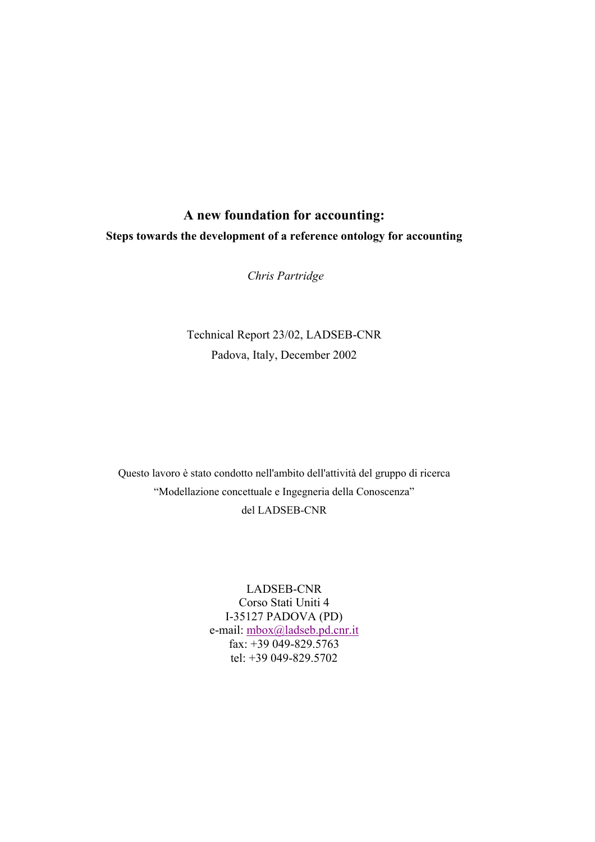# **A new foundation for accounting: Steps towards the development of a reference ontology for accounting**

 *Chris Partridge* 

Technical Report 23/02, LADSEB-CNR Padova, Italy, December 2002

Questo lavoro è stato condotto nell'ambito dell'attività del gruppo di ricerca "Modellazione concettuale e Ingegneria della Conoscenza" del LADSEB-CNR

> LADSEB-CNR Corso Stati Uniti 4 I-35127 PADOVA (PD) e-mail: mbox@ladseb.pd.cnr.it fax: +39 049-829.5763 tel: +39 049-829.5702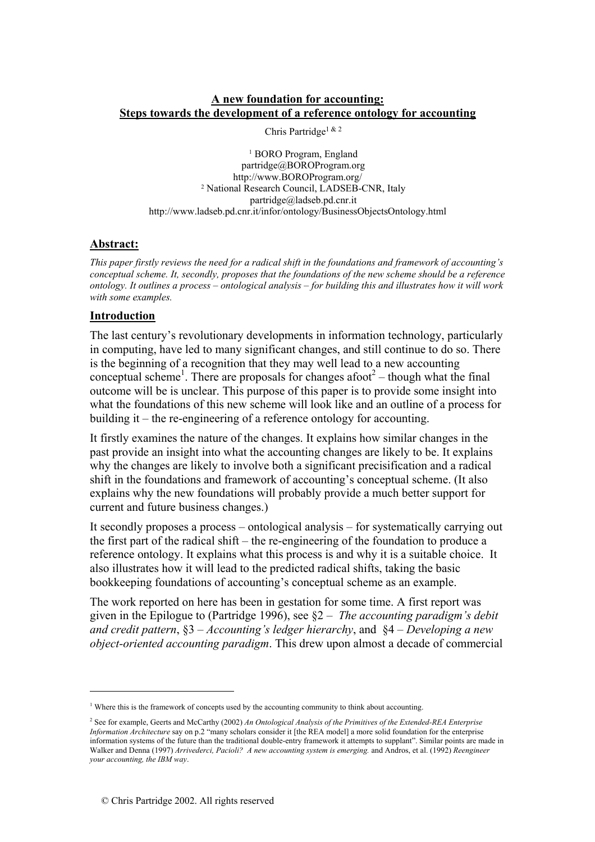## **A new foundation for accounting: Steps towards the development of a reference ontology for accounting**

Chris Partridge1 & 2

1 BORO Program, England partridge@BOROProgram.org http://www.BOROProgram.org/<br><sup>2</sup> National Research Council, LADSEB-CNR, Italy partridge@ladseb.pd.cnr.it http://www.ladseb.pd.cnr.it/infor/ontology/BusinessObjectsOntology.html

### **Abstract:**

*This paper firstly reviews the need for a radical shift in the foundations and framework of accounting's conceptual scheme. It, secondly, proposes that the foundations of the new scheme should be a reference ontology. It outlines a process – ontological analysis – for building this and illustrates how it will work with some examples.* 

### **Introduction**

 $\overline{a}$ 

The last century's revolutionary developments in information technology, particularly in computing, have led to many significant changes, and still continue to do so. There is the beginning of a recognition that they may well lead to a new accounting conceptual scheme<sup>1</sup>. There are proposals for changes afoot<sup>2</sup> – though what the final outcome will be is unclear. This purpose of this paper is to provide some insight into what the foundations of this new scheme will look like and an outline of a process for building it – the re-engineering of a reference ontology for accounting.

It firstly examines the nature of the changes. It explains how similar changes in the past provide an insight into what the accounting changes are likely to be. It explains why the changes are likely to involve both a significant precisification and a radical shift in the foundations and framework of accounting's conceptual scheme. (It also explains why the new foundations will probably provide a much better support for current and future business changes.)

It secondly proposes a process – ontological analysis – for systematically carrying out the first part of the radical shift – the re-engineering of the foundation to produce a reference ontology. It explains what this process is and why it is a suitable choice. It also illustrates how it will lead to the predicted radical shifts, taking the basic bookkeeping foundations of accounting's conceptual scheme as an example.

The work reported on here has been in gestation for some time. A first report was given in the Epilogue to (Partridge 1996), see §2 – *The accounting paradigm's debit and credit pattern*, §3 – *Accounting's ledger hierarchy*, and §4 – *Developing a new object-oriented accounting paradigm*. This drew upon almost a decade of commercial

<sup>&</sup>lt;sup>1</sup> Where this is the framework of concepts used by the accounting community to think about accounting.

<sup>2</sup> See for example, Geerts and McCarthy (2002) *An Ontological Analysis of the Primitives of the Extended-REA Enterprise Information Architecture* say on p.2 "many scholars consider it [the REA model] a more solid foundation for the enterprise information systems of the future than the traditional double-entry framework it attempts to supplant". Similar points are made in Walker and Denna (1997) *Arrivederci, Pacioli? A new accounting system is emerging.* and Andros, et al. (1992) *Reengineer your accounting, the IBM way*.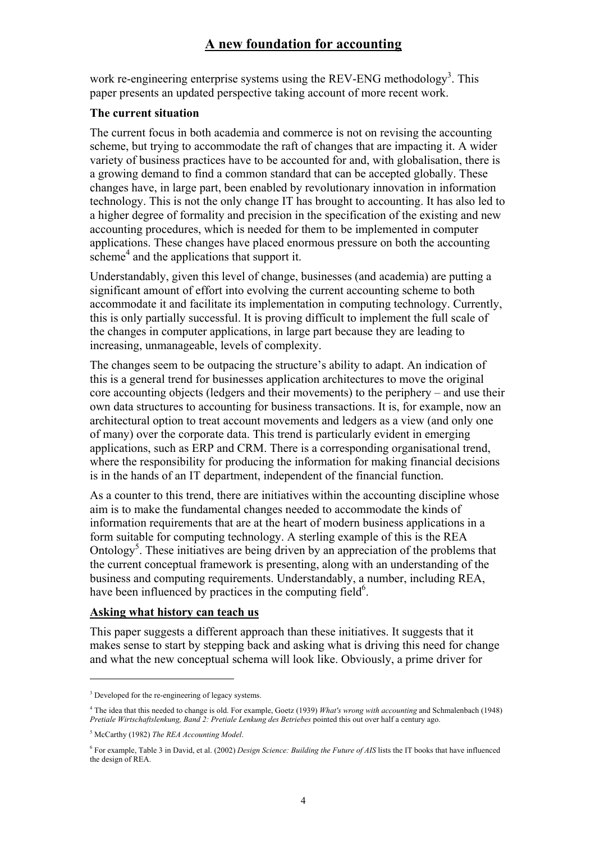work re-engineering enterprise systems using the REV-ENG methodology<sup>3</sup>. This paper presents an updated perspective taking account of more recent work.

#### **The current situation**

The current focus in both academia and commerce is not on revising the accounting scheme, but trying to accommodate the raft of changes that are impacting it. A wider variety of business practices have to be accounted for and, with globalisation, there is a growing demand to find a common standard that can be accepted globally. These changes have, in large part, been enabled by revolutionary innovation in information technology. This is not the only change IT has brought to accounting. It has also led to a higher degree of formality and precision in the specification of the existing and new accounting procedures, which is needed for them to be implemented in computer applications. These changes have placed enormous pressure on both the accounting scheme<sup>4</sup> and the applications that support it.

Understandably, given this level of change, businesses (and academia) are putting a significant amount of effort into evolving the current accounting scheme to both accommodate it and facilitate its implementation in computing technology. Currently, this is only partially successful. It is proving difficult to implement the full scale of the changes in computer applications, in large part because they are leading to increasing, unmanageable, levels of complexity.

The changes seem to be outpacing the structure's ability to adapt. An indication of this is a general trend for businesses application architectures to move the original core accounting objects (ledgers and their movements) to the periphery – and use their own data structures to accounting for business transactions. It is, for example, now an architectural option to treat account movements and ledgers as a view (and only one of many) over the corporate data. This trend is particularly evident in emerging applications, such as ERP and CRM. There is a corresponding organisational trend, where the responsibility for producing the information for making financial decisions is in the hands of an IT department, independent of the financial function.

As a counter to this trend, there are initiatives within the accounting discipline whose aim is to make the fundamental changes needed to accommodate the kinds of information requirements that are at the heart of modern business applications in a form suitable for computing technology. A sterling example of this is the REA Ontology<sup>5</sup>. These initiatives are being driven by an appreciation of the problems that the current conceptual framework is presenting, along with an understanding of the business and computing requirements. Understandably, a number, including REA, have been influenced by practices in the computing field $6$ .

### **Asking what history can teach us**

This paper suggests a different approach than these initiatives. It suggests that it makes sense to start by stepping back and asking what is driving this need for change and what the new conceptual schema will look like. Obviously, a prime driver for

<sup>&</sup>lt;sup>3</sup> Developed for the re-engineering of legacy systems.

<sup>4</sup> The idea that this needed to change is old. For example, Goetz (1939) *What's wrong with accounting* and Schmalenbach (1948) *Pretiale Wirtschaftslenkung, Band 2: Pretiale Lenkung des Betriebes* pointed this out over half a century ago.

<sup>5</sup> McCarthy (1982) *The REA Accounting Model*.

<sup>6</sup> For example, Table 3 in David, et al. (2002) *Design Science: Building the Future of AIS* lists the IT books that have influenced the design of REA.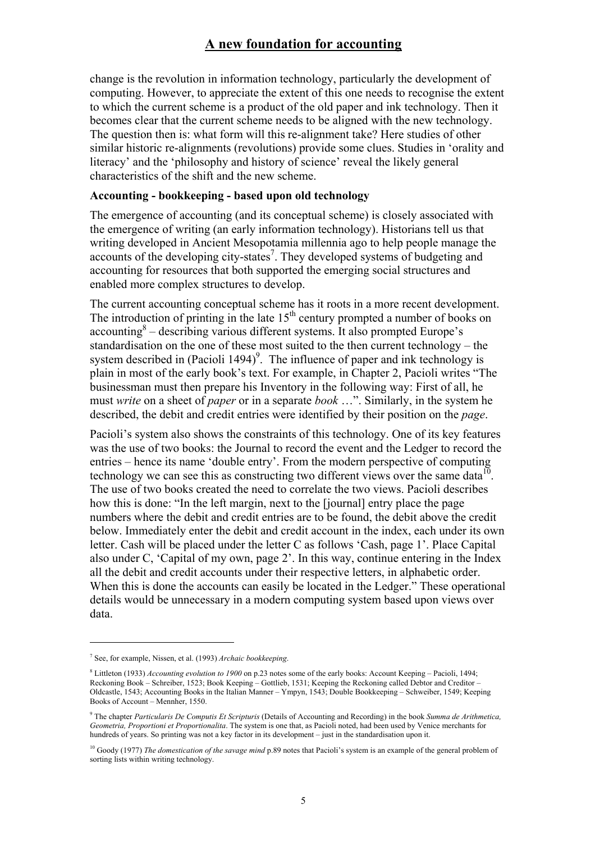change is the revolution in information technology, particularly the development of computing. However, to appreciate the extent of this one needs to recognise the extent to which the current scheme is a product of the old paper and ink technology. Then it becomes clear that the current scheme needs to be aligned with the new technology. The question then is: what form will this re-alignment take? Here studies of other similar historic re-alignments (revolutions) provide some clues. Studies in 'orality and literacy' and the 'philosophy and history of science' reveal the likely general characteristics of the shift and the new scheme.

#### **Accounting - bookkeeping - based upon old technology**

The emergence of accounting (and its conceptual scheme) is closely associated with the emergence of writing (an early information technology). Historians tell us that writing developed in Ancient Mesopotamia millennia ago to help people manage the accounts of the developing city-states<sup>7</sup>. They developed systems of budgeting and accounting for resources that both supported the emerging social structures and enabled more complex structures to develop.

The current accounting conceptual scheme has it roots in a more recent development. The introduction of printing in the late  $15<sup>th</sup>$  century prompted a number of books on accounting<sup>8</sup> – describing various different systems. It also prompted Europe's standardisation on the one of these most suited to the then current technology – the system described in (Pacioli 1494)<sup>9</sup>. The influence of paper and ink technology is plain in most of the early book's text. For example, in Chapter 2, Pacioli writes "The businessman must then prepare his Inventory in the following way: First of all, he must *write* on a sheet of *paper* or in a separate *book* …". Similarly, in the system he described, the debit and credit entries were identified by their position on the *page*.

Pacioli's system also shows the constraints of this technology. One of its key features was the use of two books: the Journal to record the event and the Ledger to record the entries – hence its name 'double entry'. From the modern perspective of computing technology we can see this as constructing two different views over the same data $10$ . The use of two books created the need to correlate the two views. Pacioli describes how this is done: "In the left margin, next to the [journal] entry place the page numbers where the debit and credit entries are to be found, the debit above the credit below. Immediately enter the debit and credit account in the index, each under its own letter. Cash will be placed under the letter C as follows 'Cash, page 1'. Place Capital also under C, 'Capital of my own, page 2'. In this way, continue entering in the Index all the debit and credit accounts under their respective letters, in alphabetic order. When this is done the accounts can easily be located in the Ledger." These operational details would be unnecessary in a modern computing system based upon views over data.

<sup>7</sup> See, for example, Nissen, et al. (1993) *Archaic bookkeeping*.

<sup>8</sup> Littleton (1933) *Accounting evolution to 1900* on p.23 notes some of the early books: Account Keeping – Pacioli, 1494; Reckoning Book – Schreiber, 1523; Book Keeping – Gottlieb, 1531; Keeping the Reckoning called Debtor and Creditor – Oldcastle, 1543; Accounting Books in the Italian Manner – Ympyn, 1543; Double Bookkeeping – Schweiber, 1549; Keeping Books of Account – Mennher, 1550.

<sup>9</sup> The chapter *Particularis De Computis Et Scripturis* (Details of Accounting and Recording) in the book *Summa de Arithmetica, Geometria, Proportioni et Proportionalita*. The system is one that, as Pacioli noted, had been used by Venice merchants for hundreds of years. So printing was not a key factor in its development – just in the standardisation upon it.

<sup>&</sup>lt;sup>10</sup> Goody (1977) *The domestication of the savage mind* p.89 notes that Pacioli's system is an example of the general problem of sorting lists within writing technology.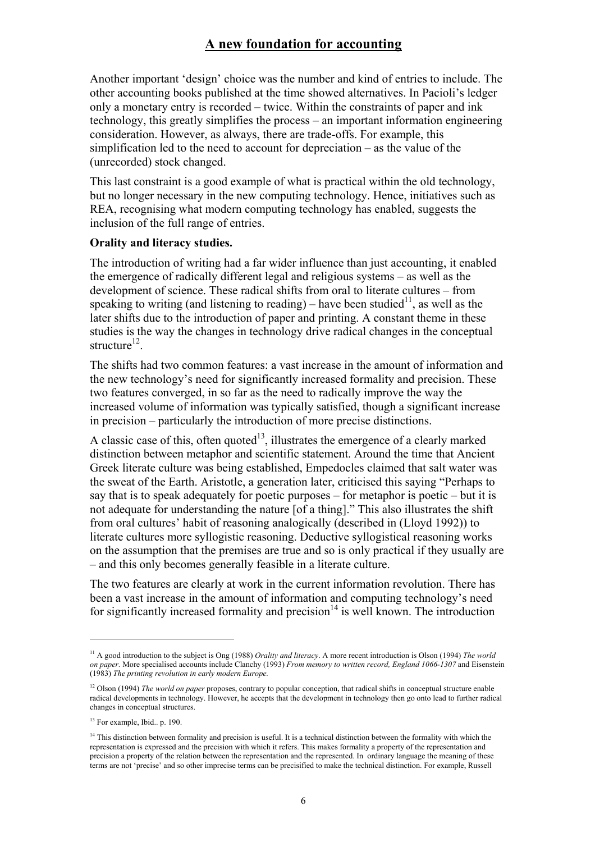Another important 'design' choice was the number and kind of entries to include. The other accounting books published at the time showed alternatives. In Pacioli's ledger only a monetary entry is recorded – twice. Within the constraints of paper and ink technology, this greatly simplifies the process – an important information engineering consideration. However, as always, there are trade-offs. For example, this simplification led to the need to account for depreciation – as the value of the (unrecorded) stock changed.

This last constraint is a good example of what is practical within the old technology, but no longer necessary in the new computing technology. Hence, initiatives such as REA, recognising what modern computing technology has enabled, suggests the inclusion of the full range of entries.

#### **Orality and literacy studies.**

The introduction of writing had a far wider influence than just accounting, it enabled the emergence of radically different legal and religious systems – as well as the development of science. These radical shifts from oral to literate cultures – from speaking to writing (and listening to reading) – have been studied<sup>11</sup>, as well as the later shifts due to the introduction of paper and printing. A constant theme in these studies is the way the changes in technology drive radical changes in the conceptual structure $^{12}$ .

The shifts had two common features: a vast increase in the amount of information and the new technology's need for significantly increased formality and precision. These two features converged, in so far as the need to radically improve the way the increased volume of information was typically satisfied, though a significant increase in precision – particularly the introduction of more precise distinctions.

A classic case of this, often quoted $13$ , illustrates the emergence of a clearly marked distinction between metaphor and scientific statement. Around the time that Ancient Greek literate culture was being established, Empedocles claimed that salt water was the sweat of the Earth. Aristotle, a generation later, criticised this saying "Perhaps to say that is to speak adequately for poetic purposes – for metaphor is poetic – but it is not adequate for understanding the nature [of a thing]." This also illustrates the shift from oral cultures' habit of reasoning analogically (described in (Lloyd 1992)) to literate cultures more syllogistic reasoning. Deductive syllogistical reasoning works on the assumption that the premises are true and so is only practical if they usually are – and this only becomes generally feasible in a literate culture.

The two features are clearly at work in the current information revolution. There has been a vast increase in the amount of information and computing technology's need for significantly increased formality and precision<sup>14</sup> is well known. The introduction

<sup>&</sup>lt;sup>11</sup> A good introduction to the subject is Ong (1988) *Orality and literacy*. A more recent introduction is Olson (1994) *The world on paper.* More specialised accounts include Clanchy (1993) *From memory to written record, England 1066-1307* and Eisenstein (1983) *The printing revolution in early modern Europe.*

<sup>&</sup>lt;sup>12</sup> Olson (1994) *The world on paper* proposes, contrary to popular conception, that radical shifts in conceptual structure enable radical developments in technology. However, he accepts that the development in technology then go onto lead to further radical changes in conceptual structures.

<sup>&</sup>lt;sup>13</sup> For example, Ibid.. p. 190.

<sup>&</sup>lt;sup>14</sup> This distinction between formality and precision is useful. It is a technical distinction between the formality with which the representation is expressed and the precision with which it refers. This makes formality a property of the representation and precision a property of the relation between the representation and the represented. In ordinary language the meaning of these terms are not 'precise' and so other imprecise terms can be precisified to make the technical distinction. For example, Russell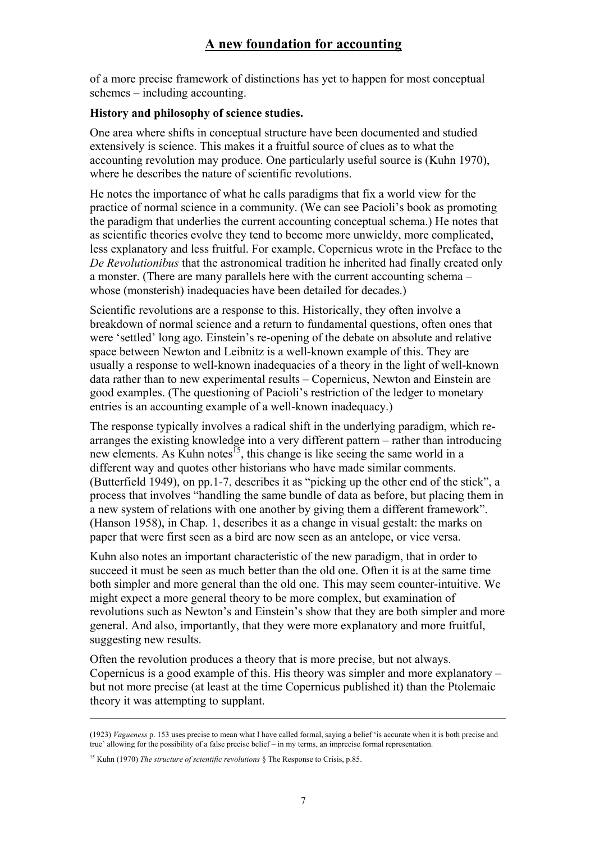of a more precise framework of distinctions has yet to happen for most conceptual schemes – including accounting.

### **History and philosophy of science studies.**

One area where shifts in conceptual structure have been documented and studied extensively is science. This makes it a fruitful source of clues as to what the accounting revolution may produce. One particularly useful source is (Kuhn 1970), where he describes the nature of scientific revolutions.

He notes the importance of what he calls paradigms that fix a world view for the practice of normal science in a community. (We can see Pacioli's book as promoting the paradigm that underlies the current accounting conceptual schema.) He notes that as scientific theories evolve they tend to become more unwieldy, more complicated, less explanatory and less fruitful. For example, Copernicus wrote in the Preface to the *De Revolutionibus* that the astronomical tradition he inherited had finally created only a monster. (There are many parallels here with the current accounting schema – whose (monsterish) inadequacies have been detailed for decades.)

Scientific revolutions are a response to this. Historically, they often involve a breakdown of normal science and a return to fundamental questions, often ones that were 'settled' long ago. Einstein's re-opening of the debate on absolute and relative space between Newton and Leibnitz is a well-known example of this. They are usually a response to well-known inadequacies of a theory in the light of well-known data rather than to new experimental results – Copernicus, Newton and Einstein are good examples. (The questioning of Pacioli's restriction of the ledger to monetary entries is an accounting example of a well-known inadequacy.)

The response typically involves a radical shift in the underlying paradigm, which rearranges the existing knowledge into a very different pattern – rather than introducing new elements. As Kuhn notes<sup>15</sup>, this change is like seeing the same world in a different way and quotes other historians who have made similar comments. (Butterfield 1949), on pp.1-7, describes it as "picking up the other end of the stick", a process that involves "handling the same bundle of data as before, but placing them in a new system of relations with one another by giving them a different framework". (Hanson 1958), in Chap. 1, describes it as a change in visual gestalt: the marks on paper that were first seen as a bird are now seen as an antelope, or vice versa.

Kuhn also notes an important characteristic of the new paradigm, that in order to succeed it must be seen as much better than the old one. Often it is at the same time both simpler and more general than the old one. This may seem counter-intuitive. We might expect a more general theory to be more complex, but examination of revolutions such as Newton's and Einstein's show that they are both simpler and more general. And also, importantly, that they were more explanatory and more fruitful, suggesting new results.

Often the revolution produces a theory that is more precise, but not always. Copernicus is a good example of this. His theory was simpler and more explanatory – but not more precise (at least at the time Copernicus published it) than the Ptolemaic theory it was attempting to supplant.

1

<sup>(1923)</sup> *Vagueness* p. 153 uses precise to mean what I have called formal, saying a belief 'is accurate when it is both precise and true' allowing for the possibility of a false precise belief – in my terms, an imprecise formal representation.

<sup>15</sup> Kuhn (1970) *The structure of scientific revolutions* § The Response to Crisis, p.85.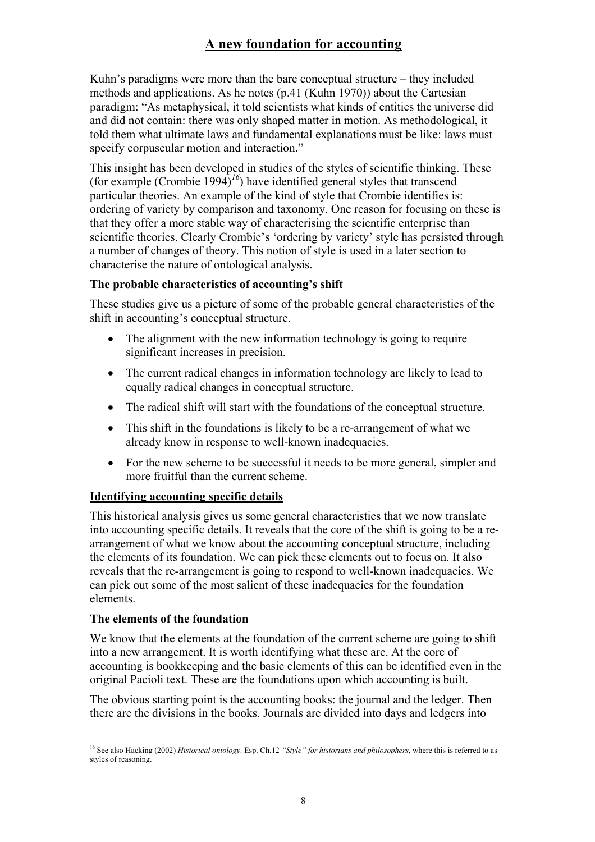Kuhn's paradigms were more than the bare conceptual structure – they included methods and applications. As he notes (p.41 (Kuhn 1970)) about the Cartesian paradigm: "As metaphysical, it told scientists what kinds of entities the universe did and did not contain: there was only shaped matter in motion. As methodological, it told them what ultimate laws and fundamental explanations must be like: laws must specify corpuscular motion and interaction."

This insight has been developed in studies of the styles of scientific thinking. These (for example (Crombie 1994)<sup> $1/6$ </sup>) have identified general styles that transcend particular theories. An example of the kind of style that Crombie identifies is: ordering of variety by comparison and taxonomy. One reason for focusing on these is that they offer a more stable way of characterising the scientific enterprise than scientific theories. Clearly Crombie's 'ordering by variety' style has persisted through a number of changes of theory. This notion of style is used in a later section to characterise the nature of ontological analysis.

## **The probable characteristics of accounting's shift**

These studies give us a picture of some of the probable general characteristics of the shift in accounting's conceptual structure.

- The alignment with the new information technology is going to require significant increases in precision.
- The current radical changes in information technology are likely to lead to equally radical changes in conceptual structure.
- The radical shift will start with the foundations of the conceptual structure.
- This shift in the foundations is likely to be a re-arrangement of what we already know in response to well-known inadequacies.
- For the new scheme to be successful it needs to be more general, simpler and more fruitful than the current scheme.

# **Identifying accounting specific details**

This historical analysis gives us some general characteristics that we now translate into accounting specific details. It reveals that the core of the shift is going to be a rearrangement of what we know about the accounting conceptual structure, including the elements of its foundation. We can pick these elements out to focus on. It also reveals that the re-arrangement is going to respond to well-known inadequacies. We can pick out some of the most salient of these inadequacies for the foundation elements.

### **The elements of the foundation**

 $\overline{a}$ 

We know that the elements at the foundation of the current scheme are going to shift into a new arrangement. It is worth identifying what these are. At the core of accounting is bookkeeping and the basic elements of this can be identified even in the original Pacioli text. These are the foundations upon which accounting is built.

The obvious starting point is the accounting books: the journal and the ledger. Then there are the divisions in the books. Journals are divided into days and ledgers into

<sup>16</sup> See also Hacking (2002) *Historical ontology*. Esp. Ch.12 *"Style" for historians and philosophers*, where this is referred to as styles of reasoning.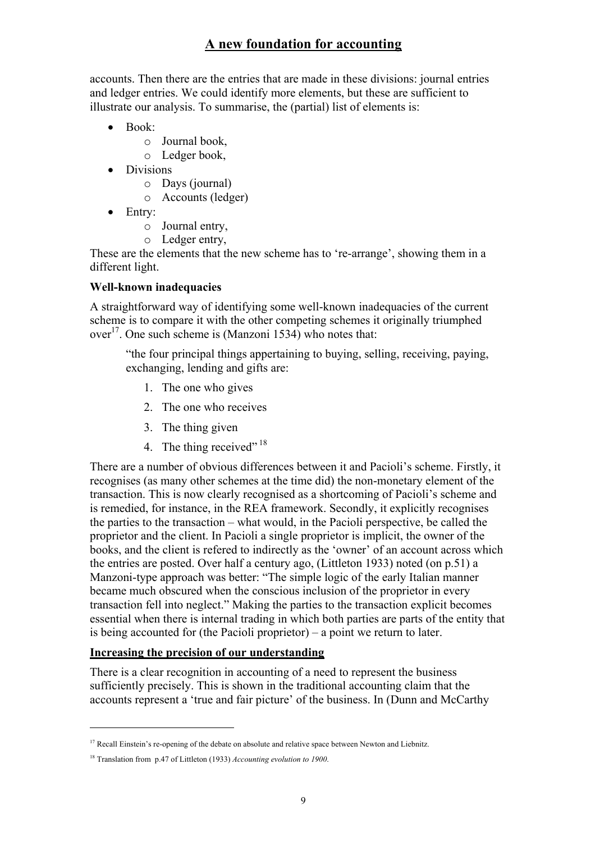accounts. Then there are the entries that are made in these divisions: journal entries and ledger entries. We could identify more elements, but these are sufficient to illustrate our analysis. To summarise, the (partial) list of elements is:

- Book:
	- o Journal book,
	- o Ledger book,
- Divisions
	- o Days (journal)
	- o Accounts (ledger)
- Entry:
	- o Journal entry,
	- o Ledger entry,

These are the elements that the new scheme has to 're-arrange', showing them in a different light.

### **Well-known inadequacies**

A straightforward way of identifying some well-known inadequacies of the current scheme is to compare it with the other competing schemes it originally triumphed  $over<sup>17</sup>$ . One such scheme is (Manzoni 1534) who notes that:

"the four principal things appertaining to buying, selling, receiving, paying, exchanging, lending and gifts are:

- 1. The one who gives
- 2. The one who receives
- 3. The thing given
- 4. The thing received" 18

There are a number of obvious differences between it and Pacioli's scheme. Firstly, it recognises (as many other schemes at the time did) the non-monetary element of the transaction. This is now clearly recognised as a shortcoming of Pacioli's scheme and is remedied, for instance, in the REA framework. Secondly, it explicitly recognises the parties to the transaction – what would, in the Pacioli perspective, be called the proprietor and the client. In Pacioli a single proprietor is implicit, the owner of the books, and the client is refered to indirectly as the 'owner' of an account across which the entries are posted. Over half a century ago, (Littleton 1933) noted (on p.51) a Manzoni-type approach was better: "The simple logic of the early Italian manner became much obscured when the conscious inclusion of the proprietor in every transaction fell into neglect." Making the parties to the transaction explicit becomes essential when there is internal trading in which both parties are parts of the entity that is being accounted for (the Pacioli proprietor) – a point we return to later.

### **Increasing the precision of our understanding**

There is a clear recognition in accounting of a need to represent the business sufficiently precisely. This is shown in the traditional accounting claim that the accounts represent a 'true and fair picture' of the business. In (Dunn and McCarthy

<sup>&</sup>lt;sup>17</sup> Recall Einstein's re-opening of the debate on absolute and relative space between Newton and Liebnitz.

<sup>18</sup> Translation from p.47 of Littleton (1933) *Accounting evolution to 1900*.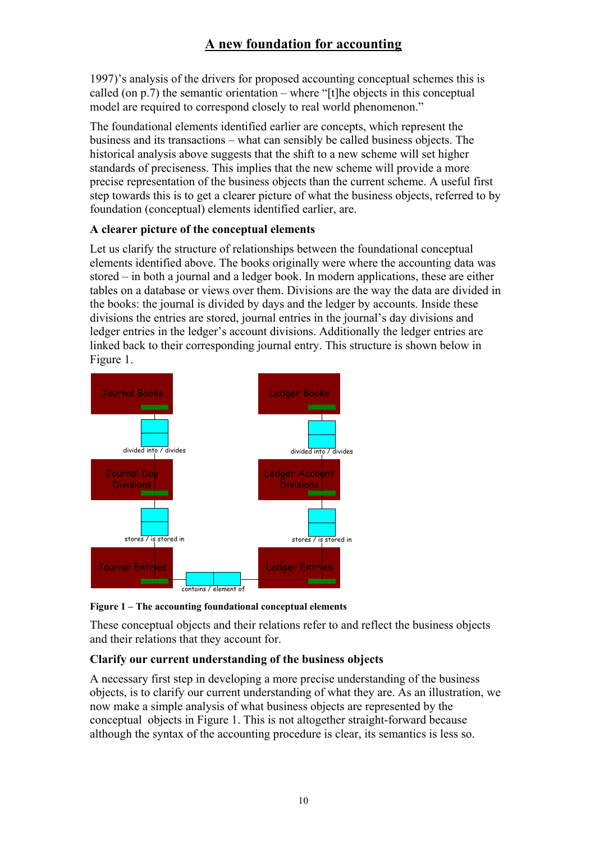1997)'s analysis of the drivers for proposed accounting conceptual schemes this is called (on p.7) the semantic orientation – where "[t]he objects in this conceptual model are required to correspond closely to real world phenomenon."

The foundational elements identified earlier are concepts, which represent the business and its transactions – what can sensibly be called business objects. The historical analysis above suggests that the shift to a new scheme will set higher standards of preciseness. This implies that the new scheme will provide a more precise representation of the business objects than the current scheme. A useful first step towards this is to get a clearer picture of what the business objects, referred to by foundation (conceptual) elements identified earlier, are.

# **A clearer picture of the conceptual elements**

Let us clarify the structure of relationships between the foundational conceptual elements identified above. The books originally were where the accounting data was stored – in both a journal and a ledger book. In modern applications, these are either tables on a database or views over them. Divisions are the way the data are divided in the books: the journal is divided by days and the ledger by accounts. Inside these divisions the entries are stored, journal entries in the journal's day divisions and ledger entries in the ledger's account divisions. Additionally the ledger entries are linked back to their corresponding journal entry. This structure is shown below in Figure 1.



**Figure 1 – The accounting foundational conceptual elements** 

These conceptual objects and their relations refer to and reflect the business objects and their relations that they account for.

# **Clarify our current understanding of the business objects**

A necessary first step in developing a more precise understanding of the business objects, is to clarify our current understanding of what they are. As an illustration, we now make a simple analysis of what business objects are represented by the conceptual objects in Figure 1. This is not altogether straight-forward because although the syntax of the accounting procedure is clear, its semantics is less so.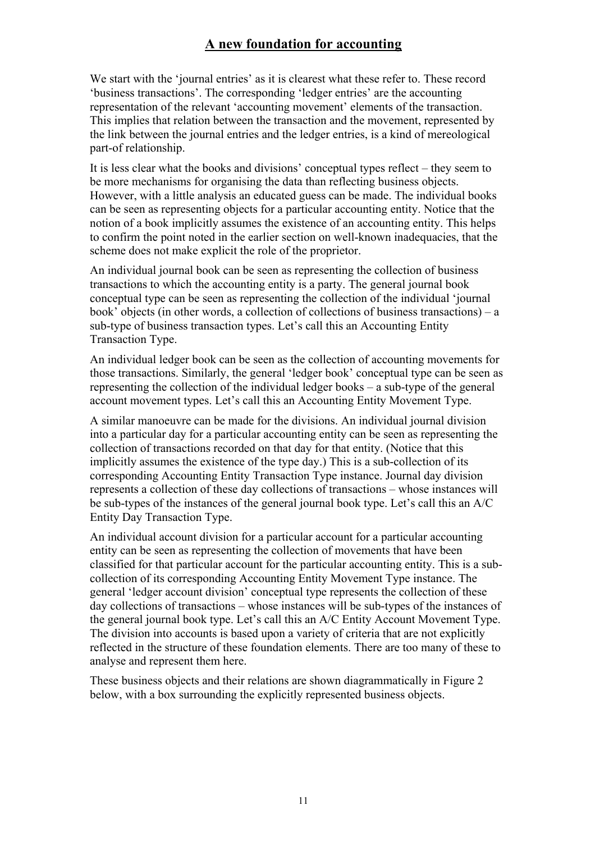We start with the 'journal entries' as it is clearest what these refer to. These record 'business transactions'. The corresponding 'ledger entries' are the accounting representation of the relevant 'accounting movement' elements of the transaction. This implies that relation between the transaction and the movement, represented by the link between the journal entries and the ledger entries, is a kind of mereological part-of relationship.

It is less clear what the books and divisions' conceptual types reflect – they seem to be more mechanisms for organising the data than reflecting business objects. However, with a little analysis an educated guess can be made. The individual books can be seen as representing objects for a particular accounting entity. Notice that the notion of a book implicitly assumes the existence of an accounting entity. This helps to confirm the point noted in the earlier section on well-known inadequacies, that the scheme does not make explicit the role of the proprietor.

An individual journal book can be seen as representing the collection of business transactions to which the accounting entity is a party. The general journal book conceptual type can be seen as representing the collection of the individual 'journal book' objects (in other words, a collection of collections of business transactions) – a sub-type of business transaction types. Let's call this an Accounting Entity Transaction Type.

An individual ledger book can be seen as the collection of accounting movements for those transactions. Similarly, the general 'ledger book' conceptual type can be seen as representing the collection of the individual ledger books – a sub-type of the general account movement types. Let's call this an Accounting Entity Movement Type.

A similar manoeuvre can be made for the divisions. An individual journal division into a particular day for a particular accounting entity can be seen as representing the collection of transactions recorded on that day for that entity. (Notice that this implicitly assumes the existence of the type day.) This is a sub-collection of its corresponding Accounting Entity Transaction Type instance. Journal day division represents a collection of these day collections of transactions – whose instances will be sub-types of the instances of the general journal book type. Let's call this an A/C Entity Day Transaction Type.

An individual account division for a particular account for a particular accounting entity can be seen as representing the collection of movements that have been classified for that particular account for the particular accounting entity. This is a subcollection of its corresponding Accounting Entity Movement Type instance. The general 'ledger account division' conceptual type represents the collection of these day collections of transactions – whose instances will be sub-types of the instances of the general journal book type. Let's call this an A/C Entity Account Movement Type. The division into accounts is based upon a variety of criteria that are not explicitly reflected in the structure of these foundation elements. There are too many of these to analyse and represent them here.

These business objects and their relations are shown diagrammatically in Figure 2 below, with a box surrounding the explicitly represented business objects.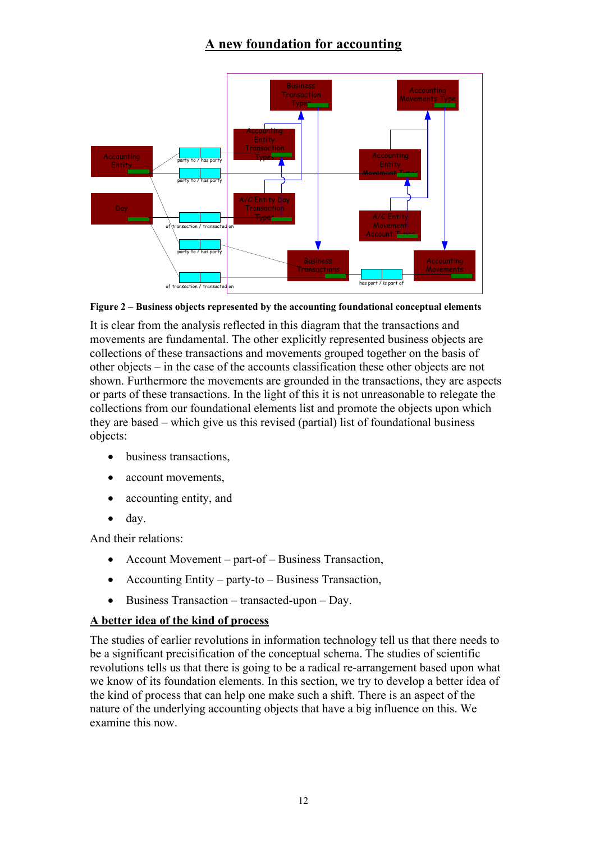

**Figure 2 – Business objects represented by the accounting foundational conceptual elements** 

It is clear from the analysis reflected in this diagram that the transactions and movements are fundamental. The other explicitly represented business objects are collections of these transactions and movements grouped together on the basis of other objects – in the case of the accounts classification these other objects are not shown. Furthermore the movements are grounded in the transactions, they are aspects or parts of these transactions. In the light of this it is not unreasonable to relegate the collections from our foundational elements list and promote the objects upon which they are based – which give us this revised (partial) list of foundational business objects:

- business transactions.
- account movements,
- accounting entity, and
- day.

And their relations:

- Account Movement part-of Business Transaction,
- Accounting Entity party-to Business Transaction,
- Business Transaction transacted-upon Day.

# **A better idea of the kind of process**

The studies of earlier revolutions in information technology tell us that there needs to be a significant precisification of the conceptual schema. The studies of scientific revolutions tells us that there is going to be a radical re-arrangement based upon what we know of its foundation elements. In this section, we try to develop a better idea of the kind of process that can help one make such a shift. There is an aspect of the nature of the underlying accounting objects that have a big influence on this. We examine this now.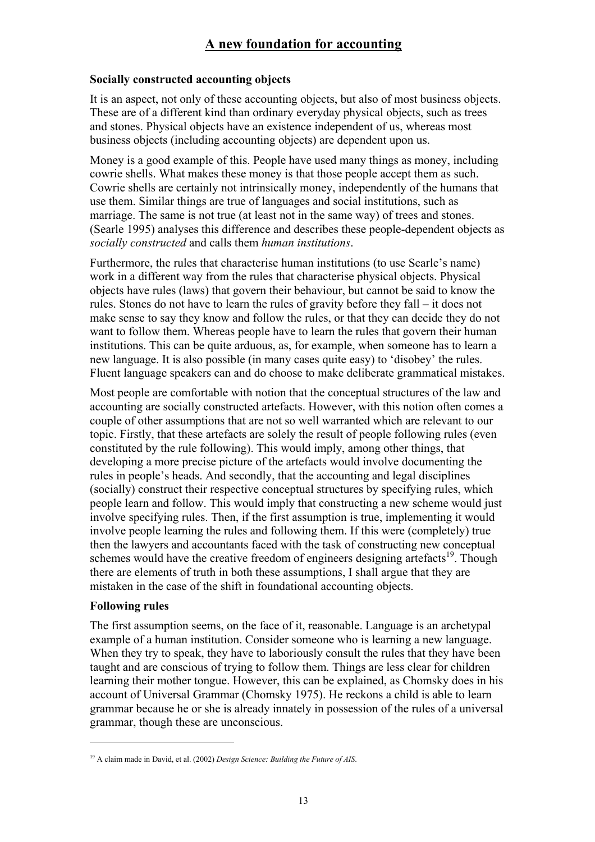### **Socially constructed accounting objects**

It is an aspect, not only of these accounting objects, but also of most business objects. These are of a different kind than ordinary everyday physical objects, such as trees and stones. Physical objects have an existence independent of us, whereas most business objects (including accounting objects) are dependent upon us.

Money is a good example of this. People have used many things as money, including cowrie shells. What makes these money is that those people accept them as such. Cowrie shells are certainly not intrinsically money, independently of the humans that use them. Similar things are true of languages and social institutions, such as marriage. The same is not true (at least not in the same way) of trees and stones. (Searle 1995) analyses this difference and describes these people-dependent objects as *socially constructed* and calls them *human institutions*.

Furthermore, the rules that characterise human institutions (to use Searle's name) work in a different way from the rules that characterise physical objects. Physical objects have rules (laws) that govern their behaviour, but cannot be said to know the rules. Stones do not have to learn the rules of gravity before they fall – it does not make sense to say they know and follow the rules, or that they can decide they do not want to follow them. Whereas people have to learn the rules that govern their human institutions. This can be quite arduous, as, for example, when someone has to learn a new language. It is also possible (in many cases quite easy) to 'disobey' the rules. Fluent language speakers can and do choose to make deliberate grammatical mistakes.

Most people are comfortable with notion that the conceptual structures of the law and accounting are socially constructed artefacts. However, with this notion often comes a couple of other assumptions that are not so well warranted which are relevant to our topic. Firstly, that these artefacts are solely the result of people following rules (even constituted by the rule following). This would imply, among other things, that developing a more precise picture of the artefacts would involve documenting the rules in people's heads. And secondly, that the accounting and legal disciplines (socially) construct their respective conceptual structures by specifying rules, which people learn and follow. This would imply that constructing a new scheme would just involve specifying rules. Then, if the first assumption is true, implementing it would involve people learning the rules and following them. If this were (completely) true then the lawyers and accountants faced with the task of constructing new conceptual schemes would have the creative freedom of engineers designing artefacts<sup>19</sup>. Though there are elements of truth in both these assumptions, I shall argue that they are mistaken in the case of the shift in foundational accounting objects.

#### **Following rules**

 $\overline{a}$ 

The first assumption seems, on the face of it, reasonable. Language is an archetypal example of a human institution. Consider someone who is learning a new language. When they try to speak, they have to laboriously consult the rules that they have been taught and are conscious of trying to follow them. Things are less clear for children learning their mother tongue. However, this can be explained, as Chomsky does in his account of Universal Grammar (Chomsky 1975). He reckons a child is able to learn grammar because he or she is already innately in possession of the rules of a universal grammar, though these are unconscious.

<sup>19</sup> A claim made in David, et al. (2002) *Design Science: Building the Future of AIS*.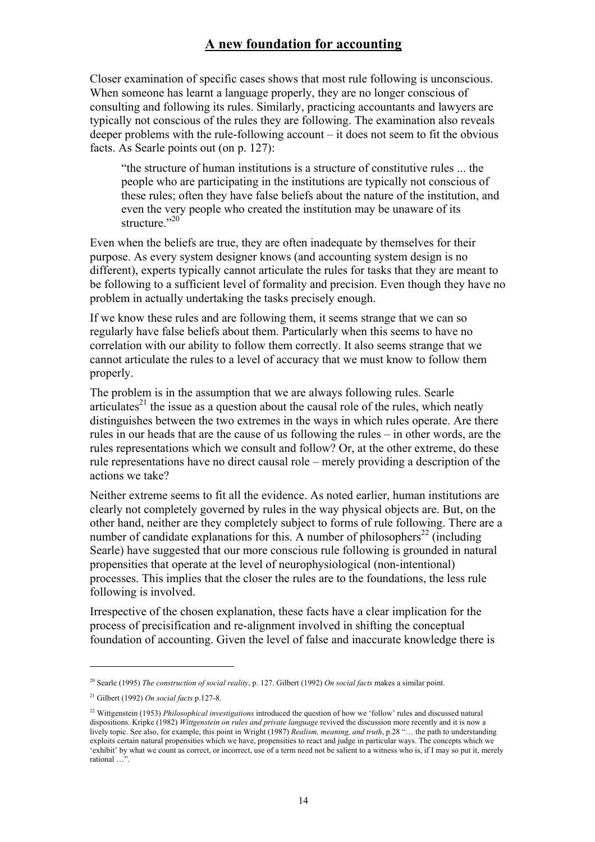Closer examination of specific cases shows that most rule following is unconscious. When someone has learnt a language properly, they are no longer conscious of consulting and following its rules. Similarly, practicing accountants and lawyers are typically not conscious of the rules they are following. The examination also reveals deeper problems with the rule-following account – it does not seem to fit the obvious facts. As Searle points out (on p. 127):

"the structure of human institutions is a structure of constitutive rules ... the people who are participating in the institutions are typically not conscious of these rules; often they have false beliefs about the nature of the institution, and even the very people who created the institution may be unaware of its structure<sup>"20"</sup>

Even when the beliefs are true, they are often inadequate by themselves for their purpose. As every system designer knows (and accounting system design is no different), experts typically cannot articulate the rules for tasks that they are meant to be following to a sufficient level of formality and precision. Even though they have no problem in actually undertaking the tasks precisely enough.

If we know these rules and are following them, it seems strange that we can so regularly have false beliefs about them. Particularly when this seems to have no correlation with our ability to follow them correctly. It also seems strange that we cannot articulate the rules to a level of accuracy that we must know to follow them properly.

The problem is in the assumption that we are always following rules. Searle articulates<sup>21</sup> the issue as a question about the causal role of the rules, which neatly distinguishes between the two extremes in the ways in which rules operate. Are there rules in our heads that are the cause of us following the rules – in other words, are the rules representations which we consult and follow? Or, at the other extreme, do these rule representations have no direct causal role – merely providing a description of the actions we take?

Neither extreme seems to fit all the evidence. As noted earlier, human institutions are clearly not completely governed by rules in the way physical objects are. But, on the other hand, neither are they completely subject to forms of rule following. There are a number of candidate explanations for this. A number of philosophers<sup>22</sup> (including Searle) have suggested that our more conscious rule following is grounded in natural propensities that operate at the level of neurophysiological (non-intentional) processes. This implies that the closer the rules are to the foundations, the less rule following is involved.

Irrespective of the chosen explanation, these facts have a clear implication for the process of precisification and re-alignment involved in shifting the conceptual foundation of accounting. Given the level of false and inaccurate knowledge there is

<sup>20</sup> Searle (1995) *The construction of social reality*, p. 127. Gilbert (1992) *On social facts* makes a similar point.

<sup>21</sup> Gilbert (1992) *On social facts* p.127-8.

<sup>22</sup> Wittgenstein (1953) *Philosophical investigations* introduced the question of how we 'follow' rules and discussed natural dispositions. Kripke (1982) *Wittgenstein on rules and private language* revived the discussion more recently and it is now a lively topic. See also, for example, this point in Wright (1987) *Realism, meaning, and truth*, p.28 "… the path to understanding exploits certain natural propensities which we have, propensities to react and judge in particular ways. The concepts which we 'exhibit' by what we count as correct, or incorrect, use of a term need not be salient to a witness who is, if I may so put it, merely rational …".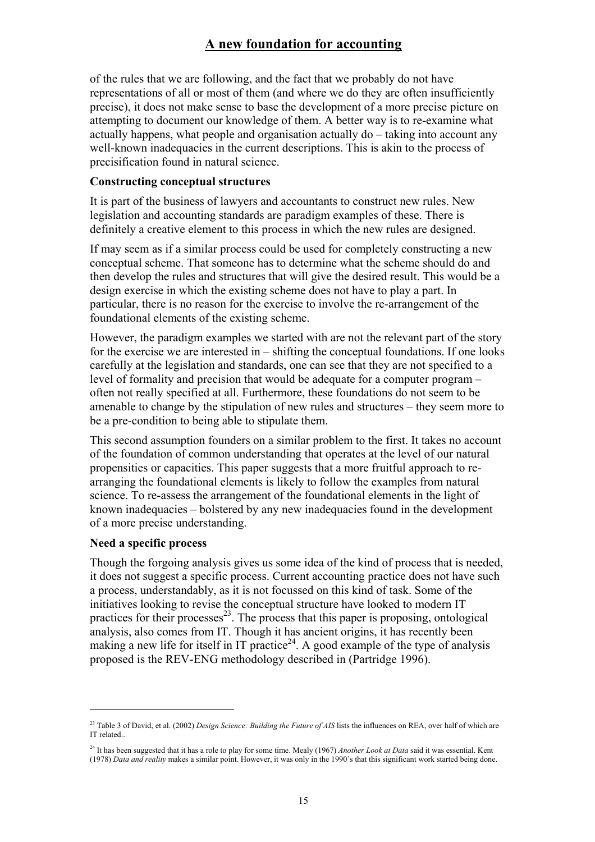of the rules that we are following, and the fact that we probably do not have representations of all or most of them (and where we do they are often insufficiently precise), it does not make sense to base the development of a more precise picture on attempting to document our knowledge of them. A better way is to re-examine what actually happens, what people and organisation actually do – taking into account any well-known inadequacies in the current descriptions. This is akin to the process of precisification found in natural science.

#### **Constructing conceptual structures**

It is part of the business of lawyers and accountants to construct new rules. New legislation and accounting standards are paradigm examples of these. There is definitely a creative element to this process in which the new rules are designed.

If may seem as if a similar process could be used for completely constructing a new conceptual scheme. That someone has to determine what the scheme should do and then develop the rules and structures that will give the desired result. This would be a design exercise in which the existing scheme does not have to play a part. In particular, there is no reason for the exercise to involve the re-arrangement of the foundational elements of the existing scheme.

However, the paradigm examples we started with are not the relevant part of the story for the exercise we are interested in – shifting the conceptual foundations. If one looks carefully at the legislation and standards, one can see that they are not specified to a level of formality and precision that would be adequate for a computer program – often not really specified at all. Furthermore, these foundations do not seem to be amenable to change by the stipulation of new rules and structures – they seem more to be a pre-condition to being able to stipulate them.

This second assumption founders on a similar problem to the first. It takes no account of the foundation of common understanding that operates at the level of our natural propensities or capacities. This paper suggests that a more fruitful approach to rearranging the foundational elements is likely to follow the examples from natural science. To re-assess the arrangement of the foundational elements in the light of known inadequacies – bolstered by any new inadequacies found in the development of a more precise understanding.

#### **Need a specific process**

 $\overline{a}$ 

Though the forgoing analysis gives us some idea of the kind of process that is needed, it does not suggest a specific process. Current accounting practice does not have such a process, understandably, as it is not focussed on this kind of task. Some of the initiatives looking to revise the conceptual structure have looked to modern IT practices for their processes<sup>23</sup>. The process that this paper is proposing, ontological analysis, also comes from IT. Though it has ancient origins, it has recently been making a new life for itself in IT practice<sup>24</sup>. A good example of the type of analysis proposed is the REV-ENG methodology described in (Partridge 1996).

<sup>&</sup>lt;sup>23</sup> Table 3 of David, et al. (2002) *Design Science: Building the Future of AIS* lists the influences on REA, over half of which are IT related..

<sup>24</sup> It has been suggested that it has a role to play for some time. Mealy (1967) *Another Look at Data* said it was essential. Kent (1978) *Data and reality* makes a similar point. However, it was only in the 1990's that this significant work started being done.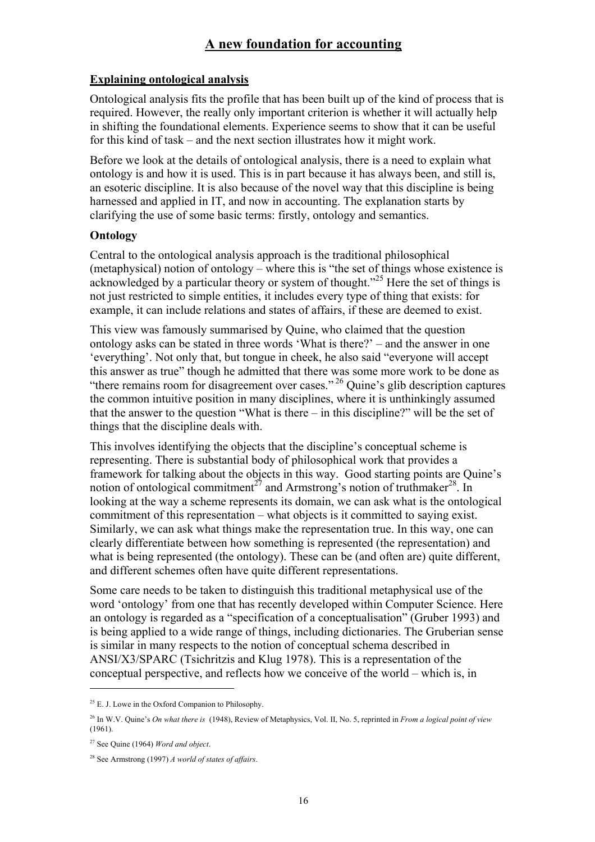## **Explaining ontological analysis**

Ontological analysis fits the profile that has been built up of the kind of process that is required. However, the really only important criterion is whether it will actually help in shifting the foundational elements. Experience seems to show that it can be useful for this kind of task – and the next section illustrates how it might work.

Before we look at the details of ontological analysis, there is a need to explain what ontology is and how it is used. This is in part because it has always been, and still is, an esoteric discipline. It is also because of the novel way that this discipline is being harnessed and applied in IT, and now in accounting. The explanation starts by clarifying the use of some basic terms: firstly, ontology and semantics.

### **Ontology**

Central to the ontological analysis approach is the traditional philosophical (metaphysical) notion of ontology – where this is "the set of things whose existence is acknowledged by a particular theory or system of thought.<sup>325</sup> Here the set of things is not just restricted to simple entities, it includes every type of thing that exists: for example, it can include relations and states of affairs, if these are deemed to exist.

This view was famously summarised by Quine, who claimed that the question ontology asks can be stated in three words 'What is there?' – and the answer in one 'everything'. Not only that, but tongue in cheek, he also said "everyone will accept this answer as true" though he admitted that there was some more work to be done as "there remains room for disagreement over cases." 26 Quine's glib description captures the common intuitive position in many disciplines, where it is unthinkingly assumed that the answer to the question "What is there – in this discipline?" will be the set of things that the discipline deals with.

This involves identifying the objects that the discipline's conceptual scheme is representing. There is substantial body of philosophical work that provides a framework for talking about the objects in this way. Good starting points are Quine's notion of ontological commitment<sup>27</sup> and Armstrong's notion of truthmaker<sup>28</sup>. In looking at the way a scheme represents its domain, we can ask what is the ontological commitment of this representation – what objects is it committed to saying exist. Similarly, we can ask what things make the representation true. In this way, one can clearly differentiate between how something is represented (the representation) and what is being represented (the ontology). These can be (and often are) quite different, and different schemes often have quite different representations.

Some care needs to be taken to distinguish this traditional metaphysical use of the word 'ontology' from one that has recently developed within Computer Science. Here an ontology is regarded as a "specification of a conceptualisation" (Gruber 1993) and is being applied to a wide range of things, including dictionaries. The Gruberian sense is similar in many respects to the notion of conceptual schema described in ANSI/X3/SPARC (Tsichritzis and Klug 1978). This is a representation of the conceptual perspective, and reflects how we conceive of the world – which is, in

<sup>&</sup>lt;sup>25</sup> E. J. Lowe in the Oxford Companion to Philosophy.

<sup>26</sup> In W.V. Quine's *On what there is* (1948), Review of Metaphysics, Vol. II, No. 5, reprinted in *From a logical point of view* (1961).

<sup>27</sup> See Quine (1964) *Word and object*.

<sup>28</sup> See Armstrong (1997) *A world of states of affairs*.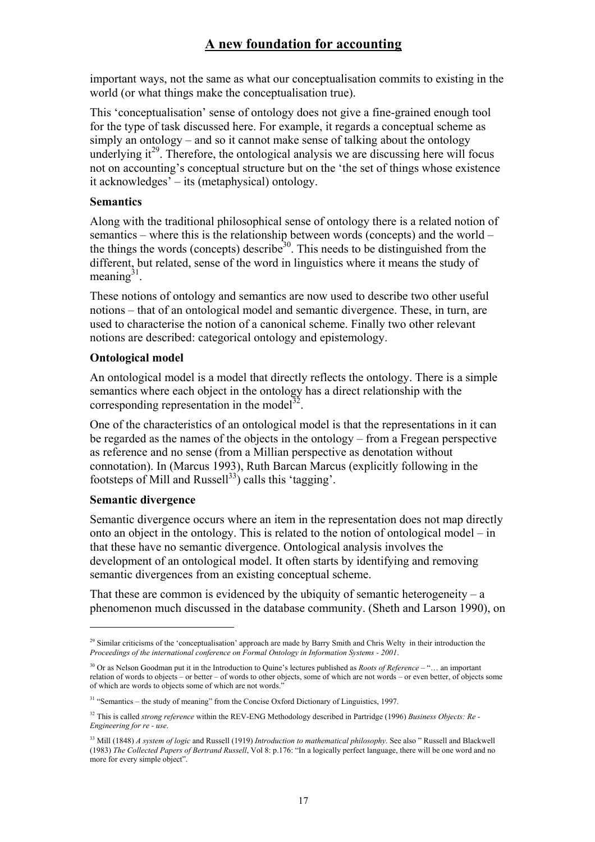important ways, not the same as what our conceptualisation commits to existing in the world (or what things make the conceptualisation true).

This 'conceptualisation' sense of ontology does not give a fine-grained enough tool for the type of task discussed here. For example, it regards a conceptual scheme as simply an ontology – and so it cannot make sense of talking about the ontology underlying  $it^{29}$ . Therefore, the ontological analysis we are discussing here will focus not on accounting's conceptual structure but on the 'the set of things whose existence it acknowledges' – its (metaphysical) ontology.

### **Semantics**

Along with the traditional philosophical sense of ontology there is a related notion of semantics – where this is the relationship between words (concepts) and the world – the things the words (concepts) describe<sup>30</sup>. This needs to be distinguished from the different, but related, sense of the word in linguistics where it means the study of meaning $31$ .

These notions of ontology and semantics are now used to describe two other useful notions – that of an ontological model and semantic divergence. These, in turn, are used to characterise the notion of a canonical scheme. Finally two other relevant notions are described: categorical ontology and epistemology.

### **Ontological model**

An ontological model is a model that directly reflects the ontology. There is a simple semantics where each object in the ontology has a direct relationship with the corresponding representation in the model<sup>32</sup>.

One of the characteristics of an ontological model is that the representations in it can be regarded as the names of the objects in the ontology – from a Fregean perspective as reference and no sense (from a Millian perspective as denotation without connotation). In (Marcus 1993), Ruth Barcan Marcus (explicitly following in the footsteps of Mill and Russell<sup>33</sup>) calls this 'tagging'.

### **Semantic divergence**

 $\overline{a}$ 

Semantic divergence occurs where an item in the representation does not map directly onto an object in the ontology. This is related to the notion of ontological model – in that these have no semantic divergence. Ontological analysis involves the development of an ontological model. It often starts by identifying and removing semantic divergences from an existing conceptual scheme.

That these are common is evidenced by the ubiquity of semantic heterogeneity – a phenomenon much discussed in the database community. (Sheth and Larson 1990), on

<sup>&</sup>lt;sup>29</sup> Similar criticisms of the 'conceptualisation' approach are made by Barry Smith and Chris Welty in their introduction the *Proceedings of the international conference on Formal Ontology in Information Systems - 2001*.

<sup>30</sup> Or as Nelson Goodman put it in the Introduction to Quine's lectures published as *Roots of Reference* – "… an important relation of words to objects – or better – of words to other objects, some of which are not words – or even better, of objects some of which are words to objects some of which are not words."

<sup>&</sup>lt;sup>31</sup> "Semantics – the study of meaning" from the Concise Oxford Dictionary of Linguistics, 1997.

<sup>&</sup>lt;sup>32</sup> This is called *strong reference* within the REV-ENG Methodology described in Partridge (1996) *Business Objects: Re-Engineering for re - use*.

<sup>33</sup> Mill (1848) *A system of logic* and Russell (1919) *Introduction to mathematical philosophy*. See also " Russell and Blackwell (1983) *The Collected Papers of Bertrand Russell*, Vol 8: p.176: "In a logically perfect language, there will be one word and no more for every simple object".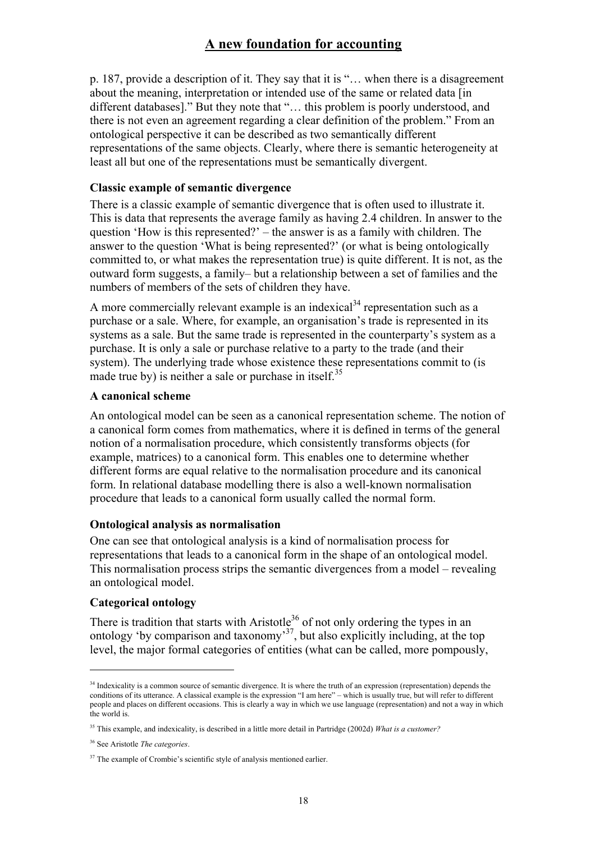p. 187, provide a description of it. They say that it is "… when there is a disagreement about the meaning, interpretation or intended use of the same or related data [in different databases]." But they note that "… this problem is poorly understood, and there is not even an agreement regarding a clear definition of the problem." From an ontological perspective it can be described as two semantically different representations of the same objects. Clearly, where there is semantic heterogeneity at least all but one of the representations must be semantically divergent.

#### **Classic example of semantic divergence**

There is a classic example of semantic divergence that is often used to illustrate it. This is data that represents the average family as having 2.4 children. In answer to the question 'How is this represented?' – the answer is as a family with children. The answer to the question 'What is being represented?' (or what is being ontologically committed to, or what makes the representation true) is quite different. It is not, as the outward form suggests, a family– but a relationship between a set of families and the numbers of members of the sets of children they have.

A more commercially relevant example is an indexical<sup>34</sup> representation such as a purchase or a sale. Where, for example, an organisation's trade is represented in its systems as a sale. But the same trade is represented in the counterparty's system as a purchase. It is only a sale or purchase relative to a party to the trade (and their system). The underlying trade whose existence these representations commit to (is made true by) is neither a sale or purchase in itself.<sup>35</sup>

#### **A canonical scheme**

An ontological model can be seen as a canonical representation scheme. The notion of a canonical form comes from mathematics, where it is defined in terms of the general notion of a normalisation procedure, which consistently transforms objects (for example, matrices) to a canonical form. This enables one to determine whether different forms are equal relative to the normalisation procedure and its canonical form. In relational database modelling there is also a well-known normalisation procedure that leads to a canonical form usually called the normal form.

#### **Ontological analysis as normalisation**

One can see that ontological analysis is a kind of normalisation process for representations that leads to a canonical form in the shape of an ontological model. This normalisation process strips the semantic divergences from a model – revealing an ontological model.

### **Categorical ontology**

 $\overline{a}$ 

There is tradition that starts with Aristotle<sup>36</sup> of not only ordering the types in an ontology 'by comparison and taxonomy<sup>37</sup>, but also explicitly including, at the top level, the major formal categories of entities (what can be called, more pompously,

<sup>&</sup>lt;sup>34</sup> Indexicality is a common source of semantic divergence. It is where the truth of an expression (representation) depends the conditions of its utterance. A classical example is the expression "I am here" – which is usually true, but will refer to different people and places on different occasions. This is clearly a way in which we use language (representation) and not a way in which the world is.

<sup>35</sup> This example, and indexicality, is described in a little more detail in Partridge (2002d) *What is a customer?*

<sup>36</sup> See Aristotle *The categories*.

<sup>&</sup>lt;sup>37</sup> The example of Crombie's scientific style of analysis mentioned earlier.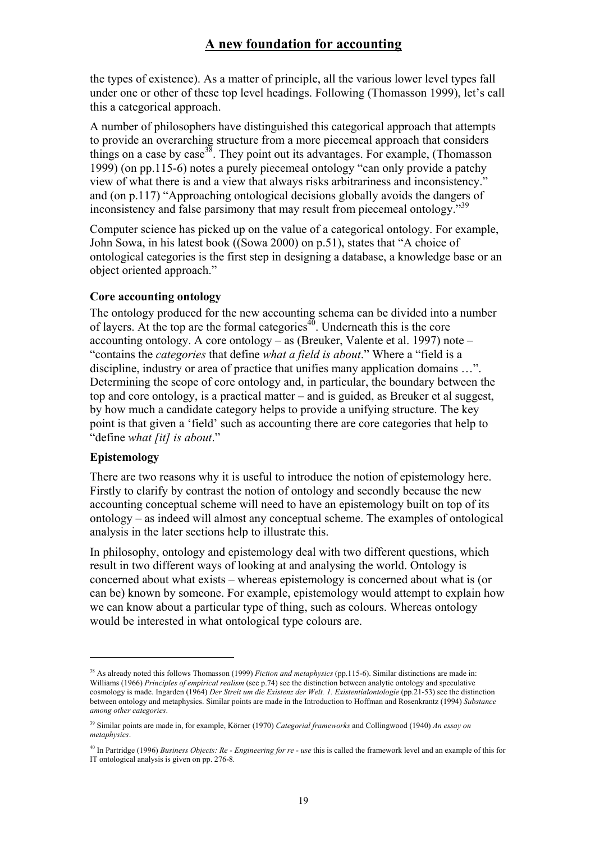the types of existence). As a matter of principle, all the various lower level types fall under one or other of these top level headings. Following (Thomasson 1999), let's call this a categorical approach.

A number of philosophers have distinguished this categorical approach that attempts to provide an overarching structure from a more piecemeal approach that considers things on a case by case<sup>38</sup>. They point out its advantages. For example, (Thomasson 1999) (on pp.115-6) notes a purely piecemeal ontology "can only provide a patchy view of what there is and a view that always risks arbitrariness and inconsistency." and (on p.117) "Approaching ontological decisions globally avoids the dangers of inconsistency and false parsimony that may result from piecemeal ontology."<sup>39</sup>

Computer science has picked up on the value of a categorical ontology. For example, John Sowa, in his latest book ((Sowa 2000) on p.51), states that "A choice of ontological categories is the first step in designing a database, a knowledge base or an object oriented approach."

## **Core accounting ontology**

The ontology produced for the new accounting schema can be divided into a number of layers. At the top are the formal categories<sup>40</sup>. Underneath this is the core accounting ontology. A core ontology – as (Breuker, Valente et al. 1997) note – "contains the *categories* that define *what a field is about*." Where a "field is a discipline, industry or area of practice that unifies many application domains …". Determining the scope of core ontology and, in particular, the boundary between the top and core ontology, is a practical matter – and is guided, as Breuker et al suggest, by how much a candidate category helps to provide a unifying structure. The key point is that given a 'field' such as accounting there are core categories that help to "define *what [it] is about*."

# **Epistemology**

 $\overline{a}$ 

There are two reasons why it is useful to introduce the notion of epistemology here. Firstly to clarify by contrast the notion of ontology and secondly because the new accounting conceptual scheme will need to have an epistemology built on top of its ontology – as indeed will almost any conceptual scheme. The examples of ontological analysis in the later sections help to illustrate this.

In philosophy, ontology and epistemology deal with two different questions, which result in two different ways of looking at and analysing the world. Ontology is concerned about what exists – whereas epistemology is concerned about what is (or can be) known by someone. For example, epistemology would attempt to explain how we can know about a particular type of thing, such as colours. Whereas ontology would be interested in what ontological type colours are.

<sup>&</sup>lt;sup>38</sup> As already noted this follows Thomasson (1999) *Fiction and metaphysics* (pp.115-6). Similar distinctions are made in: Williams (1966) *Principles of empirical realism* (see p.74) see the distinction between analytic ontology and speculative cosmology is made. Ingarden (1964) *Der Streit um die Existenz der Welt. 1. Existentialontologie* (pp.21-53) see the distinction between ontology and metaphysics. Similar points are made in the Introduction to Hoffman and Rosenkrantz (1994) *Substance among other categories*.

<sup>39</sup> Similar points are made in, for example, Körner (1970) *Categorial frameworks* and Collingwood (1940) *An essay on metaphysics*.

<sup>40</sup> In Partridge (1996) *Business Objects: Re - Engineering for re - use* this is called the framework level and an example of this for IT ontological analysis is given on pp. 276-8*.*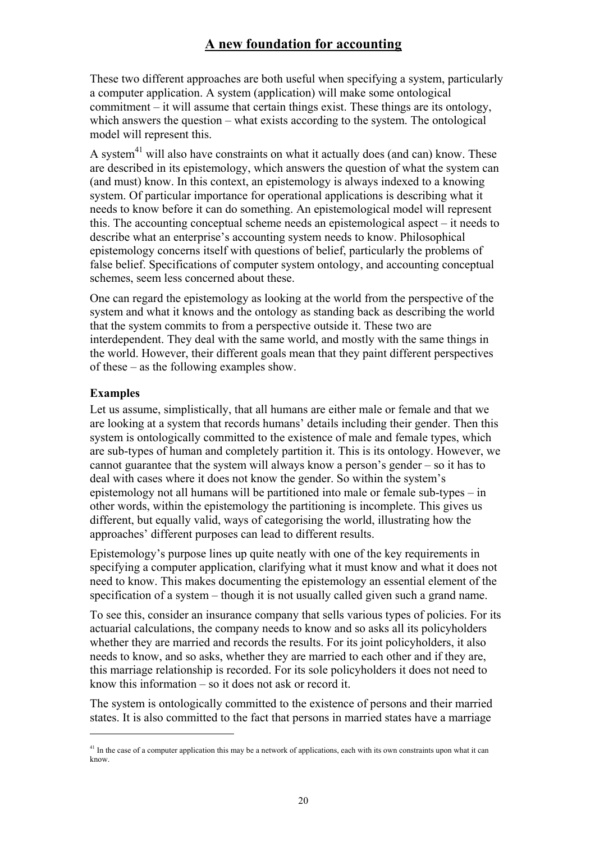These two different approaches are both useful when specifying a system, particularly a computer application. A system (application) will make some ontological commitment – it will assume that certain things exist. These things are its ontology, which answers the question – what exists according to the system. The ontological model will represent this.

A system<sup>41</sup> will also have constraints on what it actually does (and can) know. These are described in its epistemology, which answers the question of what the system can (and must) know. In this context, an epistemology is always indexed to a knowing system. Of particular importance for operational applications is describing what it needs to know before it can do something. An epistemological model will represent this. The accounting conceptual scheme needs an epistemological aspect – it needs to describe what an enterprise's accounting system needs to know. Philosophical epistemology concerns itself with questions of belief, particularly the problems of false belief. Specifications of computer system ontology, and accounting conceptual schemes, seem less concerned about these.

One can regard the epistemology as looking at the world from the perspective of the system and what it knows and the ontology as standing back as describing the world that the system commits to from a perspective outside it. These two are interdependent. They deal with the same world, and mostly with the same things in the world. However, their different goals mean that they paint different perspectives of these – as the following examples show.

### **Examples**

 $\overline{a}$ 

Let us assume, simplistically, that all humans are either male or female and that we are looking at a system that records humans' details including their gender. Then this system is ontologically committed to the existence of male and female types, which are sub-types of human and completely partition it. This is its ontology. However, we cannot guarantee that the system will always know a person's gender – so it has to deal with cases where it does not know the gender. So within the system's epistemology not all humans will be partitioned into male or female sub-types – in other words, within the epistemology the partitioning is incomplete. This gives us different, but equally valid, ways of categorising the world, illustrating how the approaches' different purposes can lead to different results.

Epistemology's purpose lines up quite neatly with one of the key requirements in specifying a computer application, clarifying what it must know and what it does not need to know. This makes documenting the epistemology an essential element of the specification of a system – though it is not usually called given such a grand name.

To see this, consider an insurance company that sells various types of policies. For its actuarial calculations, the company needs to know and so asks all its policyholders whether they are married and records the results. For its joint policyholders, it also needs to know, and so asks, whether they are married to each other and if they are, this marriage relationship is recorded. For its sole policyholders it does not need to know this information – so it does not ask or record it.

The system is ontologically committed to the existence of persons and their married states. It is also committed to the fact that persons in married states have a marriage

 $41$  In the case of a computer application this may be a network of applications, each with its own constraints upon what it can know.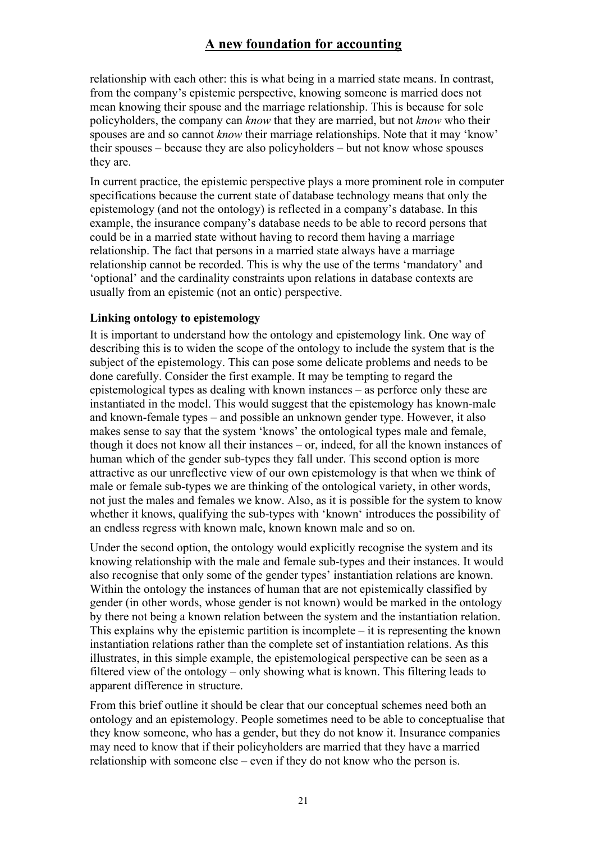relationship with each other: this is what being in a married state means. In contrast, from the company's epistemic perspective, knowing someone is married does not mean knowing their spouse and the marriage relationship. This is because for sole policyholders, the company can *know* that they are married, but not *know* who their spouses are and so cannot *know* their marriage relationships. Note that it may 'know' their spouses – because they are also policyholders – but not know whose spouses they are.

In current practice, the epistemic perspective plays a more prominent role in computer specifications because the current state of database technology means that only the epistemology (and not the ontology) is reflected in a company's database. In this example, the insurance company's database needs to be able to record persons that could be in a married state without having to record them having a marriage relationship. The fact that persons in a married state always have a marriage relationship cannot be recorded. This is why the use of the terms 'mandatory' and 'optional' and the cardinality constraints upon relations in database contexts are usually from an epistemic (not an ontic) perspective.

#### **Linking ontology to epistemology**

It is important to understand how the ontology and epistemology link. One way of describing this is to widen the scope of the ontology to include the system that is the subject of the epistemology. This can pose some delicate problems and needs to be done carefully. Consider the first example. It may be tempting to regard the epistemological types as dealing with known instances – as perforce only these are instantiated in the model. This would suggest that the epistemology has known-male and known-female types – and possible an unknown gender type. However, it also makes sense to say that the system 'knows' the ontological types male and female, though it does not know all their instances – or, indeed, for all the known instances of human which of the gender sub-types they fall under. This second option is more attractive as our unreflective view of our own epistemology is that when we think of male or female sub-types we are thinking of the ontological variety, in other words, not just the males and females we know. Also, as it is possible for the system to know whether it knows, qualifying the sub-types with 'known' introduces the possibility of an endless regress with known male, known known male and so on.

Under the second option, the ontology would explicitly recognise the system and its knowing relationship with the male and female sub-types and their instances. It would also recognise that only some of the gender types' instantiation relations are known. Within the ontology the instances of human that are not epistemically classified by gender (in other words, whose gender is not known) would be marked in the ontology by there not being a known relation between the system and the instantiation relation. This explains why the epistemic partition is incomplete  $-$  it is representing the known instantiation relations rather than the complete set of instantiation relations. As this illustrates, in this simple example, the epistemological perspective can be seen as a filtered view of the ontology – only showing what is known. This filtering leads to apparent difference in structure.

From this brief outline it should be clear that our conceptual schemes need both an ontology and an epistemology. People sometimes need to be able to conceptualise that they know someone, who has a gender, but they do not know it. Insurance companies may need to know that if their policyholders are married that they have a married relationship with someone else – even if they do not know who the person is.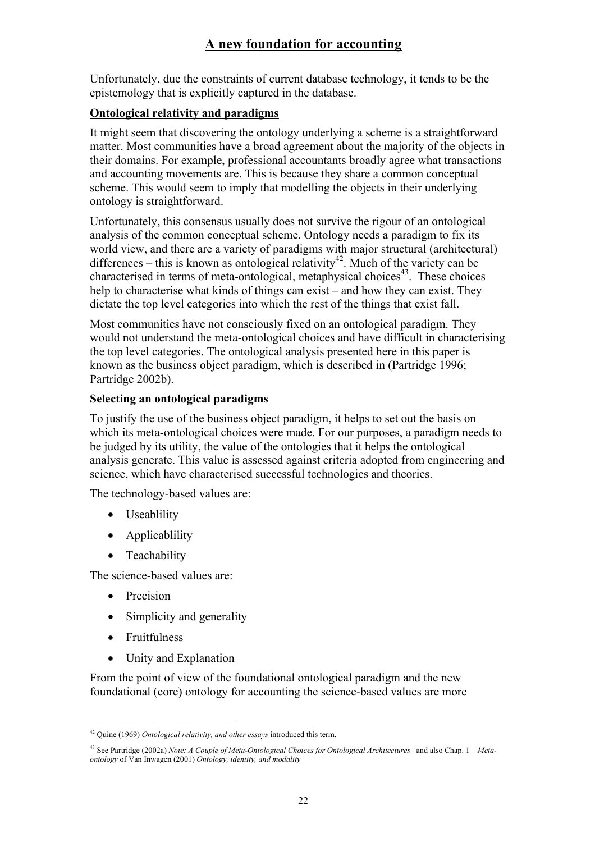Unfortunately, due the constraints of current database technology, it tends to be the epistemology that is explicitly captured in the database.

## **Ontological relativity and paradigms**

It might seem that discovering the ontology underlying a scheme is a straightforward matter. Most communities have a broad agreement about the majority of the objects in their domains. For example, professional accountants broadly agree what transactions and accounting movements are. This is because they share a common conceptual scheme. This would seem to imply that modelling the objects in their underlying ontology is straightforward.

Unfortunately, this consensus usually does not survive the rigour of an ontological analysis of the common conceptual scheme. Ontology needs a paradigm to fix its world view, and there are a variety of paradigms with major structural (architectural) differences – this is known as ontological relativity<sup>42</sup>. Much of the variety can be characterised in terms of meta-ontological, metaphysical choices<sup>43</sup>. These choices help to characterise what kinds of things can exist – and how they can exist. They dictate the top level categories into which the rest of the things that exist fall.

Most communities have not consciously fixed on an ontological paradigm. They would not understand the meta-ontological choices and have difficult in characterising the top level categories. The ontological analysis presented here in this paper is known as the business object paradigm, which is described in (Partridge 1996; Partridge 2002b).

### **Selecting an ontological paradigms**

To justify the use of the business object paradigm, it helps to set out the basis on which its meta-ontological choices were made. For our purposes, a paradigm needs to be judged by its utility, the value of the ontologies that it helps the ontological analysis generate. This value is assessed against criteria adopted from engineering and science, which have characterised successful technologies and theories.

The technology-based values are:

- Useablility
- Applicablility
- Teachability

The science-based values are:

- Precision
- Simplicity and generality
- Fruitfulness

 $\overline{a}$ 

• Unity and Explanation

From the point of view of the foundational ontological paradigm and the new foundational (core) ontology for accounting the science-based values are more

<sup>42</sup> Quine (1969) *Ontological relativity, and other essays* introduced this term.

<sup>43</sup> See Partridge (2002a) *Note: A Couple of Meta-Ontological Choices for Ontological Architectures* and also Chap. 1 – *Metaontology* of Van Inwagen (2001) *Ontology, identity, and modality*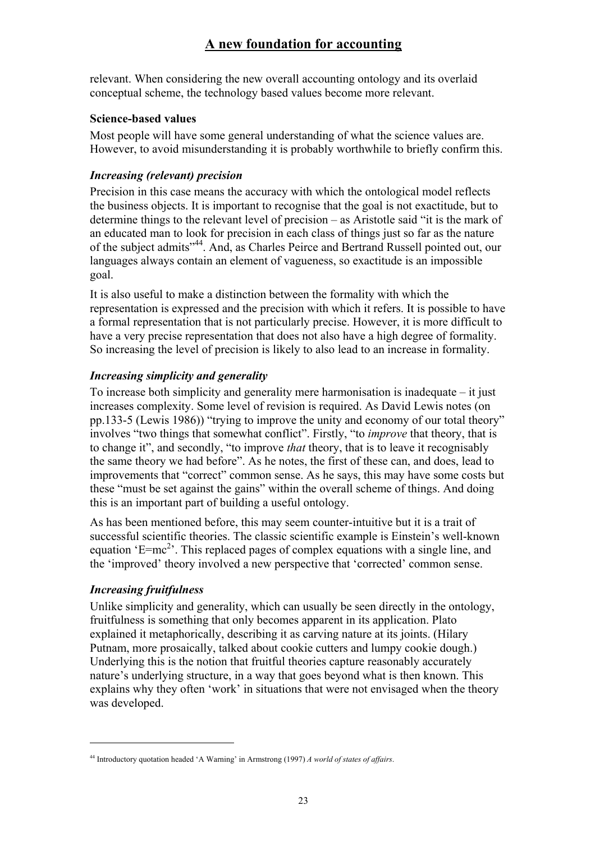relevant. When considering the new overall accounting ontology and its overlaid conceptual scheme, the technology based values become more relevant.

## **Science-based values**

Most people will have some general understanding of what the science values are. However, to avoid misunderstanding it is probably worthwhile to briefly confirm this.

## *Increasing (relevant) precision*

Precision in this case means the accuracy with which the ontological model reflects the business objects. It is important to recognise that the goal is not exactitude, but to determine things to the relevant level of precision – as Aristotle said "it is the mark of an educated man to look for precision in each class of things just so far as the nature of the subject admits"44. And, as Charles Peirce and Bertrand Russell pointed out, our languages always contain an element of vagueness, so exactitude is an impossible goal.

It is also useful to make a distinction between the formality with which the representation is expressed and the precision with which it refers. It is possible to have a formal representation that is not particularly precise. However, it is more difficult to have a very precise representation that does not also have a high degree of formality. So increasing the level of precision is likely to also lead to an increase in formality.

# *Increasing simplicity and generality*

To increase both simplicity and generality mere harmonisation is inadequate – it just increases complexity. Some level of revision is required. As David Lewis notes (on pp.133-5 (Lewis 1986)) "trying to improve the unity and economy of our total theory" involves "two things that somewhat conflict". Firstly, "to *improve* that theory, that is to change it", and secondly, "to improve *that* theory, that is to leave it recognisably the same theory we had before". As he notes, the first of these can, and does, lead to improvements that "correct" common sense. As he says, this may have some costs but these "must be set against the gains" within the overall scheme of things. And doing this is an important part of building a useful ontology.

As has been mentioned before, this may seem counter-intuitive but it is a trait of successful scientific theories. The classic scientific example is Einstein's well-known equation 'E=mc<sup>2</sup>'. This replaced pages of complex equations with a single line, and the 'improved' theory involved a new perspective that 'corrected' common sense.

# *Increasing fruitfulness*

 $\overline{a}$ 

Unlike simplicity and generality, which can usually be seen directly in the ontology, fruitfulness is something that only becomes apparent in its application. Plato explained it metaphorically, describing it as carving nature at its joints. (Hilary Putnam, more prosaically, talked about cookie cutters and lumpy cookie dough.) Underlying this is the notion that fruitful theories capture reasonably accurately nature's underlying structure, in a way that goes beyond what is then known. This explains why they often 'work' in situations that were not envisaged when the theory was developed.

<sup>44</sup> Introductory quotation headed 'A Warning' in Armstrong (1997) *A world of states of affairs*.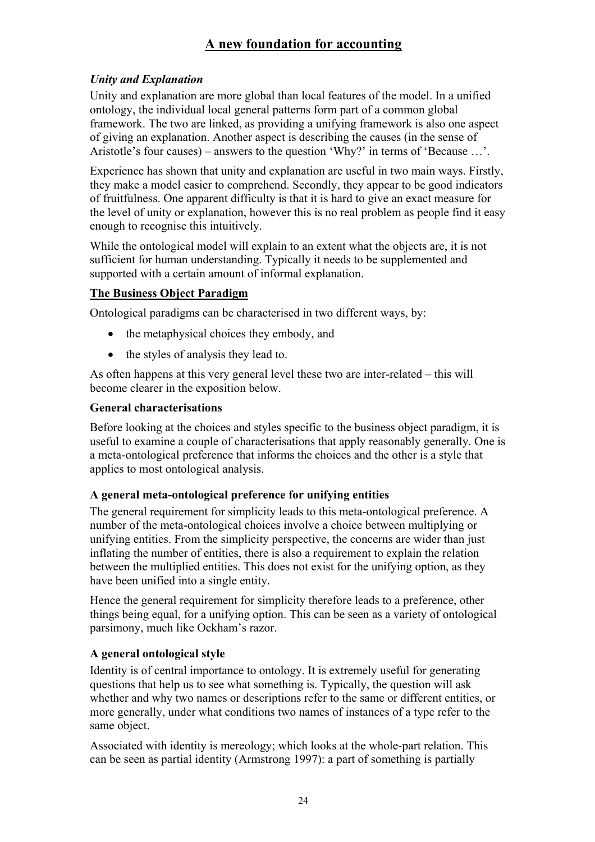# *Unity and Explanation*

Unity and explanation are more global than local features of the model. In a unified ontology, the individual local general patterns form part of a common global framework. The two are linked, as providing a unifying framework is also one aspect of giving an explanation. Another aspect is describing the causes (in the sense of Aristotle's four causes) – answers to the question 'Why?' in terms of 'Because …'.

Experience has shown that unity and explanation are useful in two main ways. Firstly, they make a model easier to comprehend. Secondly, they appear to be good indicators of fruitfulness. One apparent difficulty is that it is hard to give an exact measure for the level of unity or explanation, however this is no real problem as people find it easy enough to recognise this intuitively.

While the ontological model will explain to an extent what the objects are, it is not sufficient for human understanding. Typically it needs to be supplemented and supported with a certain amount of informal explanation.

## **The Business Object Paradigm**

Ontological paradigms can be characterised in two different ways, by:

- the metaphysical choices they embody, and
- the styles of analysis they lead to.

As often happens at this very general level these two are inter-related – this will become clearer in the exposition below.

### **General characterisations**

Before looking at the choices and styles specific to the business object paradigm, it is useful to examine a couple of characterisations that apply reasonably generally. One is a meta-ontological preference that informs the choices and the other is a style that applies to most ontological analysis.

### **A general meta-ontological preference for unifying entities**

The general requirement for simplicity leads to this meta-ontological preference. A number of the meta-ontological choices involve a choice between multiplying or unifying entities. From the simplicity perspective, the concerns are wider than just inflating the number of entities, there is also a requirement to explain the relation between the multiplied entities. This does not exist for the unifying option, as they have been unified into a single entity.

Hence the general requirement for simplicity therefore leads to a preference, other things being equal, for a unifying option. This can be seen as a variety of ontological parsimony, much like Ockham's razor.

# **A general ontological style**

Identity is of central importance to ontology. It is extremely useful for generating questions that help us to see what something is. Typically, the question will ask whether and why two names or descriptions refer to the same or different entities, or more generally, under what conditions two names of instances of a type refer to the same object.

Associated with identity is mereology; which looks at the whole-part relation. This can be seen as partial identity (Armstrong 1997): a part of something is partially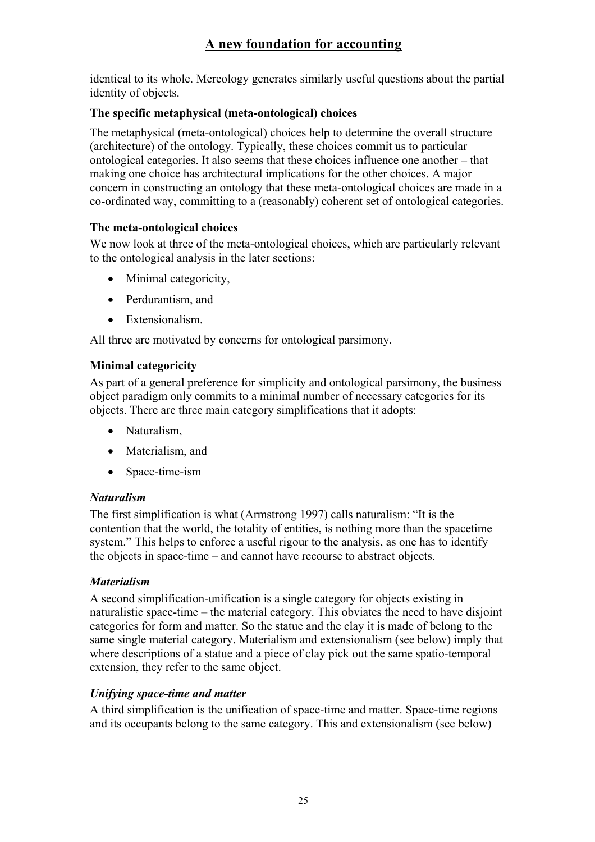identical to its whole. Mereology generates similarly useful questions about the partial identity of objects.

## **The specific metaphysical (meta-ontological) choices**

The metaphysical (meta-ontological) choices help to determine the overall structure (architecture) of the ontology. Typically, these choices commit us to particular ontological categories. It also seems that these choices influence one another – that making one choice has architectural implications for the other choices. A major concern in constructing an ontology that these meta-ontological choices are made in a co-ordinated way, committing to a (reasonably) coherent set of ontological categories.

### **The meta-ontological choices**

We now look at three of the meta-ontological choices, which are particularly relevant to the ontological analysis in the later sections:

- Minimal categoricity,
- Perdurantism, and
- Extensionalism.

All three are motivated by concerns for ontological parsimony.

# **Minimal categoricity**

As part of a general preference for simplicity and ontological parsimony, the business object paradigm only commits to a minimal number of necessary categories for its objects. There are three main category simplifications that it adopts:

- Naturalism,
- Materialism, and
- Space-time-ism

# *Naturalism*

The first simplification is what (Armstrong 1997) calls naturalism: "It is the contention that the world, the totality of entities, is nothing more than the spacetime system." This helps to enforce a useful rigour to the analysis, as one has to identify the objects in space-time – and cannot have recourse to abstract objects.

# *Materialism*

A second simplification-unification is a single category for objects existing in naturalistic space-time – the material category. This obviates the need to have disjoint categories for form and matter. So the statue and the clay it is made of belong to the same single material category. Materialism and extensionalism (see below) imply that where descriptions of a statue and a piece of clay pick out the same spatio-temporal extension, they refer to the same object.

# *Unifying space-time and matter*

A third simplification is the unification of space-time and matter. Space-time regions and its occupants belong to the same category. This and extensionalism (see below)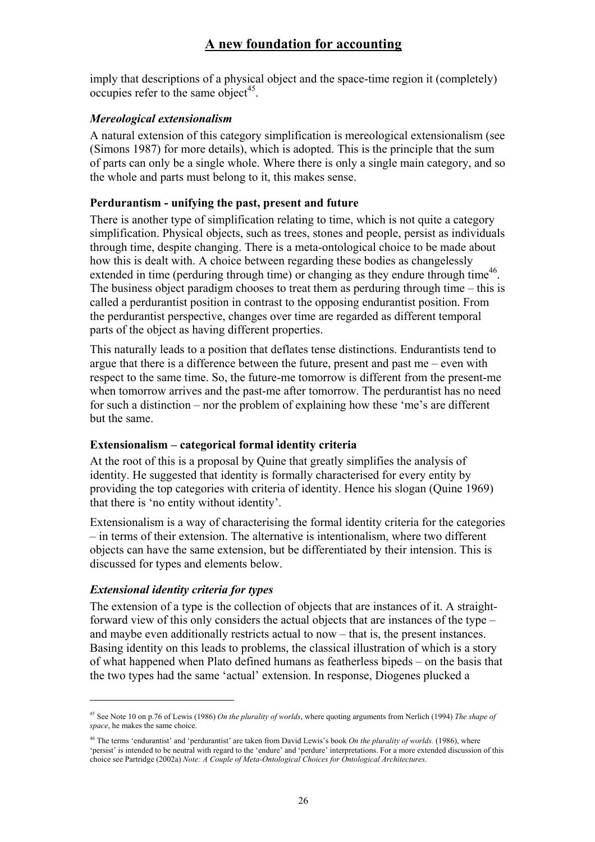imply that descriptions of a physical object and the space-time region it (completely) occupies refer to the same object<sup>45</sup>.

### *Mereological extensionalism*

A natural extension of this category simplification is mereological extensionalism (see (Simons 1987) for more details), which is adopted. This is the principle that the sum of parts can only be a single whole. Where there is only a single main category, and so the whole and parts must belong to it, this makes sense.

### **Perdurantism - unifying the past, present and future**

There is another type of simplification relating to time, which is not quite a category simplification. Physical objects, such as trees, stones and people, persist as individuals through time, despite changing. There is a meta-ontological choice to be made about how this is dealt with. A choice between regarding these bodies as changelessly extended in time (perduring through time) or changing as they endure through time<sup>46</sup>. The business object paradigm chooses to treat them as perduring through time – this is called a perdurantist position in contrast to the opposing endurantist position. From the perdurantist perspective, changes over time are regarded as different temporal parts of the object as having different properties.

This naturally leads to a position that deflates tense distinctions. Endurantists tend to argue that there is a difference between the future, present and past me – even with respect to the same time. So, the future-me tomorrow is different from the present-me when tomorrow arrives and the past-me after tomorrow. The perdurantist has no need for such a distinction – nor the problem of explaining how these 'me's are different but the same.

### **Extensionalism – categorical formal identity criteria**

At the root of this is a proposal by Quine that greatly simplifies the analysis of identity. He suggested that identity is formally characterised for every entity by providing the top categories with criteria of identity. Hence his slogan (Quine 1969) that there is 'no entity without identity'.

Extensionalism is a way of characterising the formal identity criteria for the categories – in terms of their extension. The alternative is intentionalism, where two different objects can have the same extension, but be differentiated by their intension. This is discussed for types and elements below.

#### *Extensional identity criteria for types*

 $\overline{a}$ 

The extension of a type is the collection of objects that are instances of it. A straightforward view of this only considers the actual objects that are instances of the type – and maybe even additionally restricts actual to now – that is, the present instances. Basing identity on this leads to problems, the classical illustration of which is a story of what happened when Plato defined humans as featherless bipeds – on the basis that the two types had the same 'actual' extension. In response, Diogenes plucked a

<sup>45</sup> See Note 10 on p.76 of Lewis (1986) *On the plurality of worlds*, where quoting arguments from Nerlich (1994) *The shape of space*, he makes the same choice.

<sup>46</sup> The terms 'endurantist' and 'perdurantist' are taken from David Lewis's book *On the plurality of worlds.* (1986), where 'persist' is intended to be neutral with regard to the 'endure' and 'perdure' interpretations. For a more extended discussion of this choice see Partridge (2002a) *Note: A Couple of Meta-Ontological Choices for Ontological Architectures*.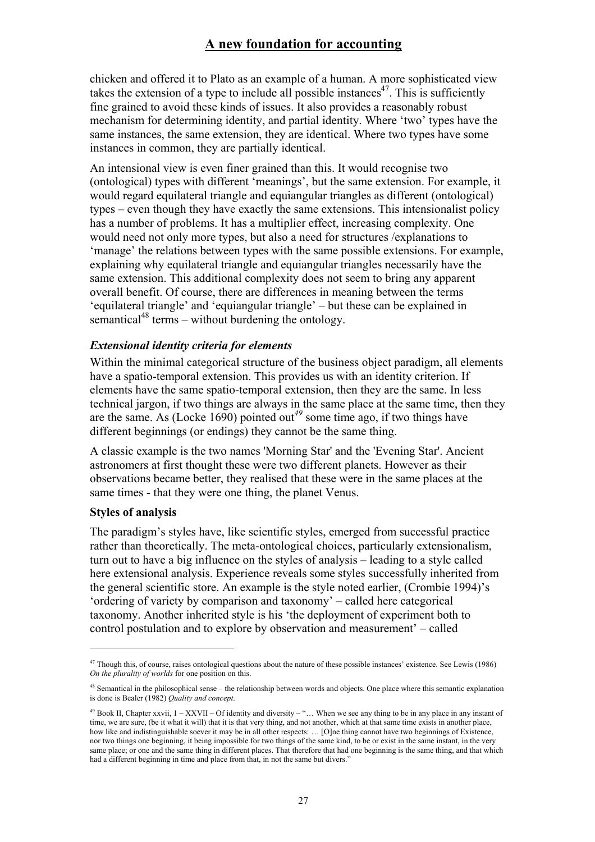chicken and offered it to Plato as an example of a human. A more sophisticated view takes the extension of a type to include all possible instances<sup>47</sup>. This is sufficiently fine grained to avoid these kinds of issues. It also provides a reasonably robust mechanism for determining identity, and partial identity. Where 'two' types have the same instances, the same extension, they are identical. Where two types have some instances in common, they are partially identical.

An intensional view is even finer grained than this. It would recognise two (ontological) types with different 'meanings', but the same extension. For example, it would regard equilateral triangle and equiangular triangles as different (ontological) types – even though they have exactly the same extensions. This intensionalist policy has a number of problems. It has a multiplier effect, increasing complexity. One would need not only more types, but also a need for structures /explanations to 'manage' the relations between types with the same possible extensions. For example, explaining why equilateral triangle and equiangular triangles necessarily have the same extension. This additional complexity does not seem to bring any apparent overall benefit. Of course, there are differences in meaning between the terms 'equilateral triangle' and 'equiangular triangle' – but these can be explained in semantical<sup>48</sup> terms – without burdening the ontology.

#### *Extensional identity criteria for elements*

Within the minimal categorical structure of the business object paradigm, all elements have a spatio-temporal extension. This provides us with an identity criterion. If elements have the same spatio-temporal extension, then they are the same. In less technical jargon, if two things are always in the same place at the same time, then they are the same. As (Locke 1690) pointed out*<sup>49</sup>* some time ago, if two things have different beginnings (or endings) they cannot be the same thing.

A classic example is the two names 'Morning Star' and the 'Evening Star'. Ancient astronomers at first thought these were two different planets. However as their observations became better, they realised that these were in the same places at the same times - that they were one thing, the planet Venus.

#### **Styles of analysis**

 $\overline{a}$ 

The paradigm's styles have, like scientific styles, emerged from successful practice rather than theoretically. The meta-ontological choices, particularly extensionalism, turn out to have a big influence on the styles of analysis – leading to a style called here extensional analysis. Experience reveals some styles successfully inherited from the general scientific store. An example is the style noted earlier, (Crombie 1994)'s 'ordering of variety by comparison and taxonomy' – called here categorical taxonomy. Another inherited style is his 'the deployment of experiment both to control postulation and to explore by observation and measurement' – called

<sup>&</sup>lt;sup>47</sup> Though this, of course, raises ontological questions about the nature of these possible instances' existence. See Lewis (1986) *On the plurality of worlds* for one position on this.

<sup>&</sup>lt;sup>48</sup> Semantical in the philosophical sense – the relationship between words and objects. One place where this semantic explanation is done is Bealer (1982) *Quality and concept*.

 $49$  Book II, Chapter xxvii,  $1 - XXVII - Of identity and diversity - \dots$  When we see any thing to be in any place in any instant of time, we are sure, (be it what it will) that it is that very thing, and not another, which at that same time exists in another place, how like and indistinguishable soever it may be in all other respects: ... [O]ne thing cannot have two beginnings of Existence, nor two things one beginning, it being impossible for two things of the same kind, to be or exist in the same instant, in the very same place; or one and the same thing in different places. That therefore that had one beginning is the same thing, and that which had a different beginning in time and place from that, in not the same but divers."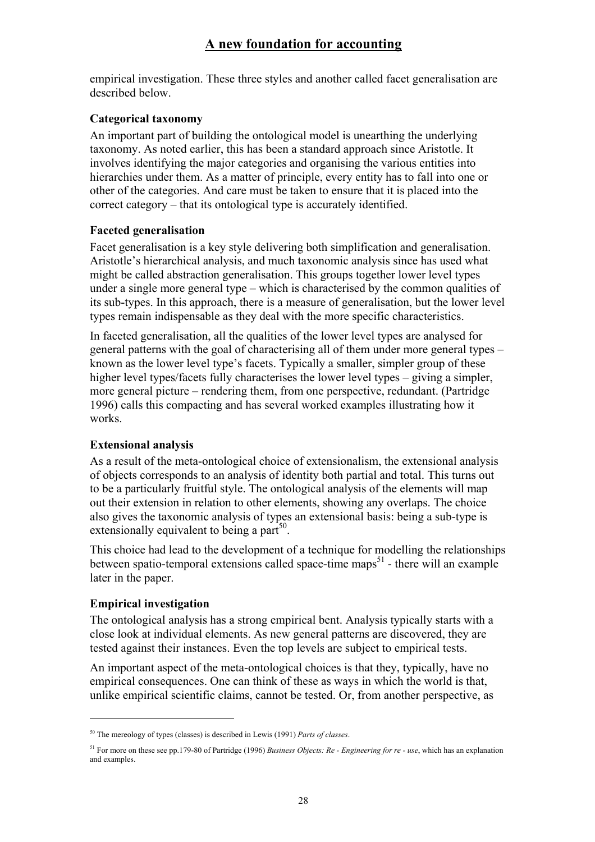empirical investigation. These three styles and another called facet generalisation are described below.

#### **Categorical taxonomy**

An important part of building the ontological model is unearthing the underlying taxonomy. As noted earlier, this has been a standard approach since Aristotle. It involves identifying the major categories and organising the various entities into hierarchies under them. As a matter of principle, every entity has to fall into one or other of the categories. And care must be taken to ensure that it is placed into the correct category – that its ontological type is accurately identified.

#### **Faceted generalisation**

Facet generalisation is a key style delivering both simplification and generalisation. Aristotle's hierarchical analysis, and much taxonomic analysis since has used what might be called abstraction generalisation. This groups together lower level types under a single more general type – which is characterised by the common qualities of its sub-types. In this approach, there is a measure of generalisation, but the lower level types remain indispensable as they deal with the more specific characteristics.

In faceted generalisation, all the qualities of the lower level types are analysed for general patterns with the goal of characterising all of them under more general types – known as the lower level type's facets. Typically a smaller, simpler group of these higher level types/facets fully characterises the lower level types – giving a simpler, more general picture – rendering them, from one perspective, redundant. (Partridge 1996) calls this compacting and has several worked examples illustrating how it works.

### **Extensional analysis**

As a result of the meta-ontological choice of extensionalism, the extensional analysis of objects corresponds to an analysis of identity both partial and total. This turns out to be a particularly fruitful style. The ontological analysis of the elements will map out their extension in relation to other elements, showing any overlaps. The choice also gives the taxonomic analysis of types an extensional basis: being a sub-type is extensionally equivalent to being a part<sup>50</sup>.

This choice had lead to the development of a technique for modelling the relationships between spatio-temporal extensions called space-time maps $51$  - there will an example later in the paper.

### **Empirical investigation**

 $\overline{a}$ 

The ontological analysis has a strong empirical bent. Analysis typically starts with a close look at individual elements. As new general patterns are discovered, they are tested against their instances. Even the top levels are subject to empirical tests.

An important aspect of the meta-ontological choices is that they, typically, have no empirical consequences. One can think of these as ways in which the world is that, unlike empirical scientific claims, cannot be tested. Or, from another perspective, as

<sup>50</sup> The mereology of types (classes) is described in Lewis (1991) *Parts of classes*.

<sup>51</sup> For more on these see pp.179-80 of Partridge (1996) *Business Objects: Re - Engineering for re - use*, which has an explanation and examples.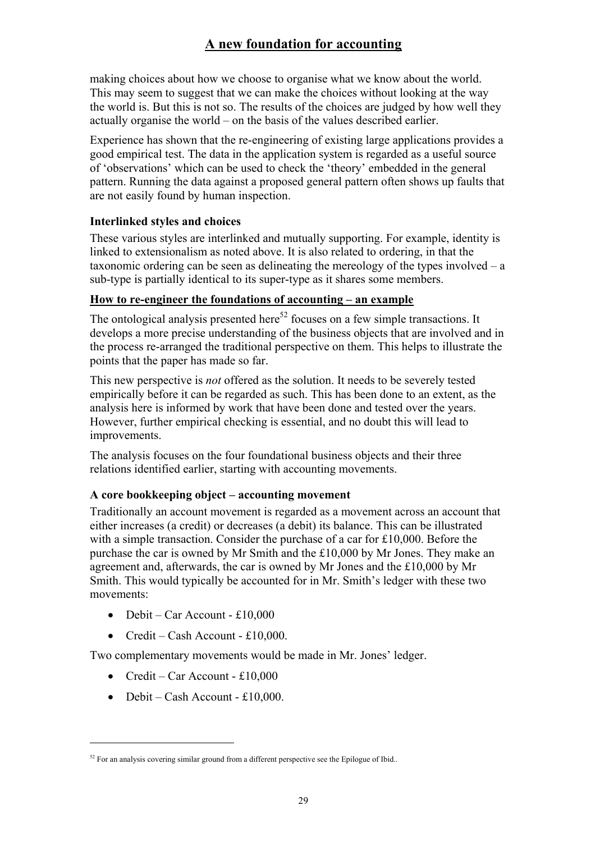making choices about how we choose to organise what we know about the world. This may seem to suggest that we can make the choices without looking at the way the world is. But this is not so. The results of the choices are judged by how well they actually organise the world – on the basis of the values described earlier.

Experience has shown that the re-engineering of existing large applications provides a good empirical test. The data in the application system is regarded as a useful source of 'observations' which can be used to check the 'theory' embedded in the general pattern. Running the data against a proposed general pattern often shows up faults that are not easily found by human inspection.

## **Interlinked styles and choices**

These various styles are interlinked and mutually supporting. For example, identity is linked to extensionalism as noted above. It is also related to ordering, in that the taxonomic ordering can be seen as delineating the mereology of the types involved – a sub-type is partially identical to its super-type as it shares some members.

### **How to re-engineer the foundations of accounting – an example**

The ontological analysis presented here<sup>52</sup> focuses on a few simple transactions. It develops a more precise understanding of the business objects that are involved and in the process re-arranged the traditional perspective on them. This helps to illustrate the points that the paper has made so far.

This new perspective is *not* offered as the solution. It needs to be severely tested empirically before it can be regarded as such. This has been done to an extent, as the analysis here is informed by work that have been done and tested over the years. However, further empirical checking is essential, and no doubt this will lead to improvements.

The analysis focuses on the four foundational business objects and their three relations identified earlier, starting with accounting movements.

# **A core bookkeeping object – accounting movement**

Traditionally an account movement is regarded as a movement across an account that either increases (a credit) or decreases (a debit) its balance. This can be illustrated with a simple transaction. Consider the purchase of a car for £10,000. Before the purchase the car is owned by Mr Smith and the £10,000 by Mr Jones. They make an agreement and, afterwards, the car is owned by Mr Jones and the £10,000 by Mr Smith. This would typically be accounted for in Mr. Smith's ledger with these two movements:

- Debit Car Account £10,000
- Credit Cash Account £10,000.

Two complementary movements would be made in Mr. Jones' ledger.

- Credit Car Account £10,000
- Debit Cash Account £10,000.

<sup>&</sup>lt;sup>52</sup> For an analysis covering similar ground from a different perspective see the Epilogue of Ibid..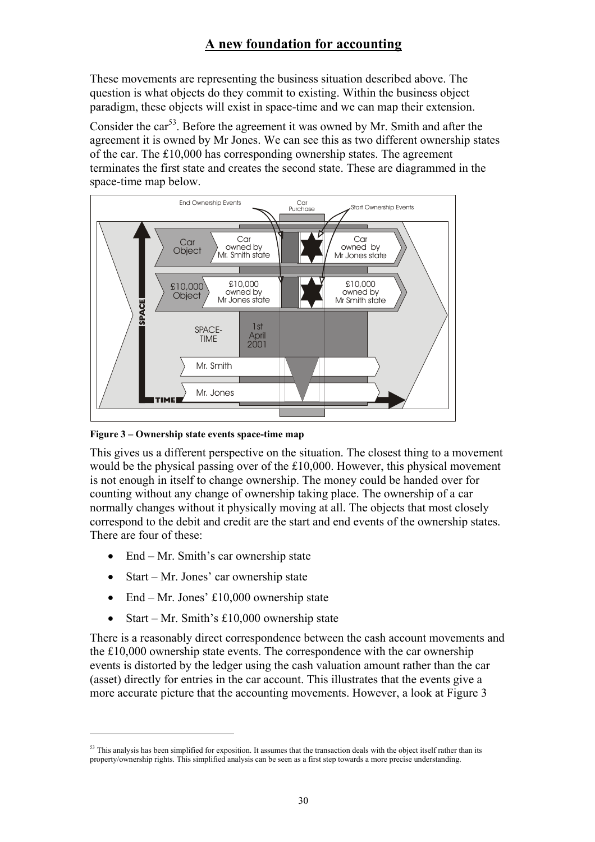These movements are representing the business situation described above. The question is what objects do they commit to existing. Within the business object paradigm, these objects will exist in space-time and we can map their extension.

Consider the car<sup>53</sup>. Before the agreement it was owned by Mr. Smith and after the agreement it is owned by Mr Jones. We can see this as two different ownership states of the car. The £10,000 has corresponding ownership states. The agreement terminates the first state and creates the second state. These are diagrammed in the space-time map below.



**Figure 3 – Ownership state events space-time map** 

This gives us a different perspective on the situation. The closest thing to a movement would be the physical passing over of the £10,000. However, this physical movement is not enough in itself to change ownership. The money could be handed over for counting without any change of ownership taking place. The ownership of a car normally changes without it physically moving at all. The objects that most closely correspond to the debit and credit are the start and end events of the ownership states. There are four of these:

- End Mr. Smith's car ownership state
- Start Mr. Jones' car ownership state

 $\overline{a}$ 

- End Mr. Jones' £10,000 ownership state
- Start Mr. Smith's £10,000 ownership state

There is a reasonably direct correspondence between the cash account movements and the £10,000 ownership state events. The correspondence with the car ownership events is distorted by the ledger using the cash valuation amount rather than the car (asset) directly for entries in the car account. This illustrates that the events give a more accurate picture that the accounting movements. However, a look at Figure 3

<sup>&</sup>lt;sup>53</sup> This analysis has been simplified for exposition. It assumes that the transaction deals with the object itself rather than its property/ownership rights. This simplified analysis can be seen as a first step towards a more precise understanding.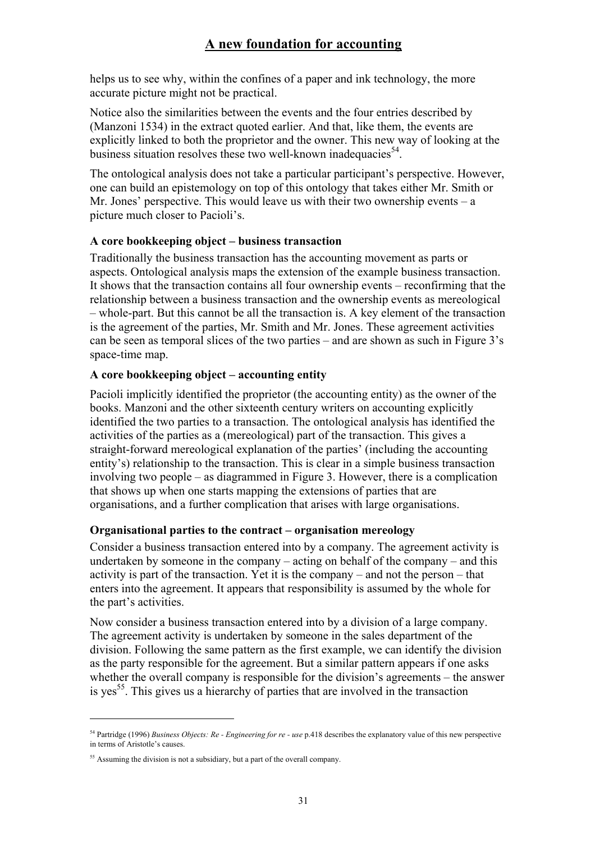helps us to see why, within the confines of a paper and ink technology, the more accurate picture might not be practical.

Notice also the similarities between the events and the four entries described by (Manzoni 1534) in the extract quoted earlier. And that, like them, the events are explicitly linked to both the proprietor and the owner. This new way of looking at the business situation resolves these two well-known inadequacies  $54$ .

The ontological analysis does not take a particular participant's perspective. However, one can build an epistemology on top of this ontology that takes either Mr. Smith or Mr. Jones' perspective. This would leave us with their two ownership events  $- a$ picture much closer to Pacioli's.

#### **A core bookkeeping object – business transaction**

Traditionally the business transaction has the accounting movement as parts or aspects. Ontological analysis maps the extension of the example business transaction. It shows that the transaction contains all four ownership events – reconfirming that the relationship between a business transaction and the ownership events as mereological – whole-part. But this cannot be all the transaction is. A key element of the transaction is the agreement of the parties, Mr. Smith and Mr. Jones. These agreement activities can be seen as temporal slices of the two parties – and are shown as such in Figure 3's space-time map.

#### **A core bookkeeping object – accounting entity**

Pacioli implicitly identified the proprietor (the accounting entity) as the owner of the books. Manzoni and the other sixteenth century writers on accounting explicitly identified the two parties to a transaction. The ontological analysis has identified the activities of the parties as a (mereological) part of the transaction. This gives a straight-forward mereological explanation of the parties' (including the accounting entity's) relationship to the transaction. This is clear in a simple business transaction involving two people – as diagrammed in Figure 3. However, there is a complication that shows up when one starts mapping the extensions of parties that are organisations, and a further complication that arises with large organisations.

### **Organisational parties to the contract – organisation mereology**

Consider a business transaction entered into by a company. The agreement activity is undertaken by someone in the company – acting on behalf of the company – and this activity is part of the transaction. Yet it is the company – and not the person – that enters into the agreement. It appears that responsibility is assumed by the whole for the part's activities.

Now consider a business transaction entered into by a division of a large company. The agreement activity is undertaken by someone in the sales department of the division. Following the same pattern as the first example, we can identify the division as the party responsible for the agreement. But a similar pattern appears if one asks whether the overall company is responsible for the division's agreements – the answer is yes<sup>55</sup>. This gives us a hierarchy of parties that are involved in the transaction

<sup>54</sup> Partridge (1996) *Business Objects: Re - Engineering for re - use* p.418 describes the explanatory value of this new perspective in terms of Aristotle's causes.

<sup>&</sup>lt;sup>55</sup> Assuming the division is not a subsidiary, but a part of the overall company.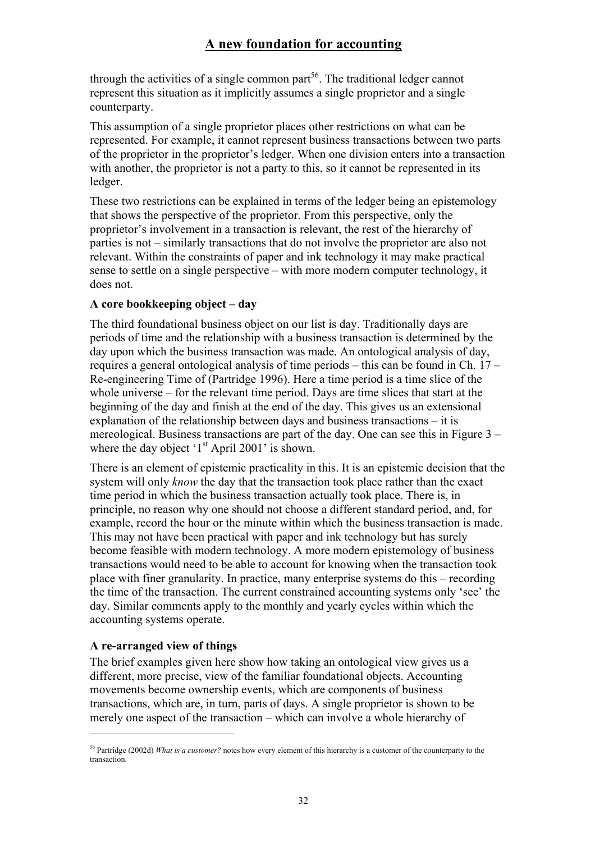through the activities of a single common part<sup>56</sup>. The traditional ledger cannot represent this situation as it implicitly assumes a single proprietor and a single counterparty.

This assumption of a single proprietor places other restrictions on what can be represented. For example, it cannot represent business transactions between two parts of the proprietor in the proprietor's ledger. When one division enters into a transaction with another, the proprietor is not a party to this, so it cannot be represented in its ledger.

These two restrictions can be explained in terms of the ledger being an epistemology that shows the perspective of the proprietor. From this perspective, only the proprietor's involvement in a transaction is relevant, the rest of the hierarchy of parties is not – similarly transactions that do not involve the proprietor are also not relevant. Within the constraints of paper and ink technology it may make practical sense to settle on a single perspective – with more modern computer technology, it does not.

### **A core bookkeeping object – day**

The third foundational business object on our list is day. Traditionally days are periods of time and the relationship with a business transaction is determined by the day upon which the business transaction was made. An ontological analysis of day, requires a general ontological analysis of time periods – this can be found in Ch. 17 – Re-engineering Time of (Partridge 1996). Here a time period is a time slice of the whole universe – for the relevant time period. Days are time slices that start at the beginning of the day and finish at the end of the day. This gives us an extensional explanation of the relationship between days and business transactions – it is mereological. Business transactions are part of the day. One can see this in Figure 3 – where the day object  $1<sup>st</sup>$  April 2001' is shown.

There is an element of epistemic practicality in this. It is an epistemic decision that the system will only *know* the day that the transaction took place rather than the exact time period in which the business transaction actually took place. There is, in principle, no reason why one should not choose a different standard period, and, for example, record the hour or the minute within which the business transaction is made. This may not have been practical with paper and ink technology but has surely become feasible with modern technology. A more modern epistemology of business transactions would need to be able to account for knowing when the transaction took place with finer granularity. In practice, many enterprise systems do this – recording the time of the transaction. The current constrained accounting systems only 'see' the day. Similar comments apply to the monthly and yearly cycles within which the accounting systems operate.

### **A re-arranged view of things**

 $\overline{a}$ 

The brief examples given here show how taking an ontological view gives us a different, more precise, view of the familiar foundational objects. Accounting movements become ownership events, which are components of business transactions, which are, in turn, parts of days. A single proprietor is shown to be merely one aspect of the transaction – which can involve a whole hierarchy of

<sup>56</sup> Partridge (2002d) *What is a customer?* notes how every element of this hierarchy is a customer of the counterparty to the transaction.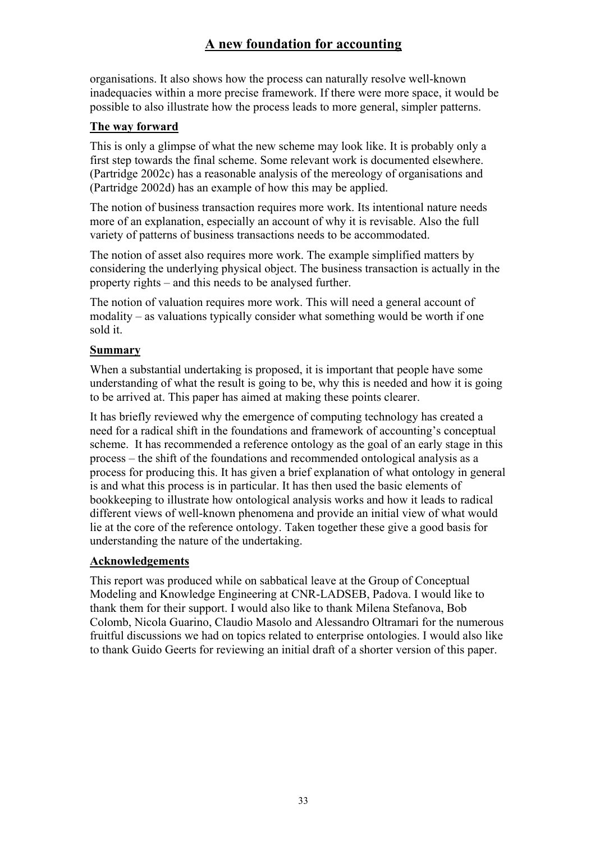organisations. It also shows how the process can naturally resolve well-known inadequacies within a more precise framework. If there were more space, it would be possible to also illustrate how the process leads to more general, simpler patterns.

### **The way forward**

This is only a glimpse of what the new scheme may look like. It is probably only a first step towards the final scheme. Some relevant work is documented elsewhere. (Partridge 2002c) has a reasonable analysis of the mereology of organisations and (Partridge 2002d) has an example of how this may be applied.

The notion of business transaction requires more work. Its intentional nature needs more of an explanation, especially an account of why it is revisable. Also the full variety of patterns of business transactions needs to be accommodated.

The notion of asset also requires more work. The example simplified matters by considering the underlying physical object. The business transaction is actually in the property rights – and this needs to be analysed further.

The notion of valuation requires more work. This will need a general account of modality – as valuations typically consider what something would be worth if one sold it.

## **Summary**

When a substantial undertaking is proposed, it is important that people have some understanding of what the result is going to be, why this is needed and how it is going to be arrived at. This paper has aimed at making these points clearer.

It has briefly reviewed why the emergence of computing technology has created a need for a radical shift in the foundations and framework of accounting's conceptual scheme. It has recommended a reference ontology as the goal of an early stage in this process – the shift of the foundations and recommended ontological analysis as a process for producing this. It has given a brief explanation of what ontology in general is and what this process is in particular. It has then used the basic elements of bookkeeping to illustrate how ontological analysis works and how it leads to radical different views of well-known phenomena and provide an initial view of what would lie at the core of the reference ontology. Taken together these give a good basis for understanding the nature of the undertaking.

### **Acknowledgements**

This report was produced while on sabbatical leave at the Group of Conceptual Modeling and Knowledge Engineering at CNR-LADSEB, Padova. I would like to thank them for their support. I would also like to thank Milena Stefanova, Bob Colomb, Nicola Guarino, Claudio Masolo and Alessandro Oltramari for the numerous fruitful discussions we had on topics related to enterprise ontologies. I would also like to thank Guido Geerts for reviewing an initial draft of a shorter version of this paper.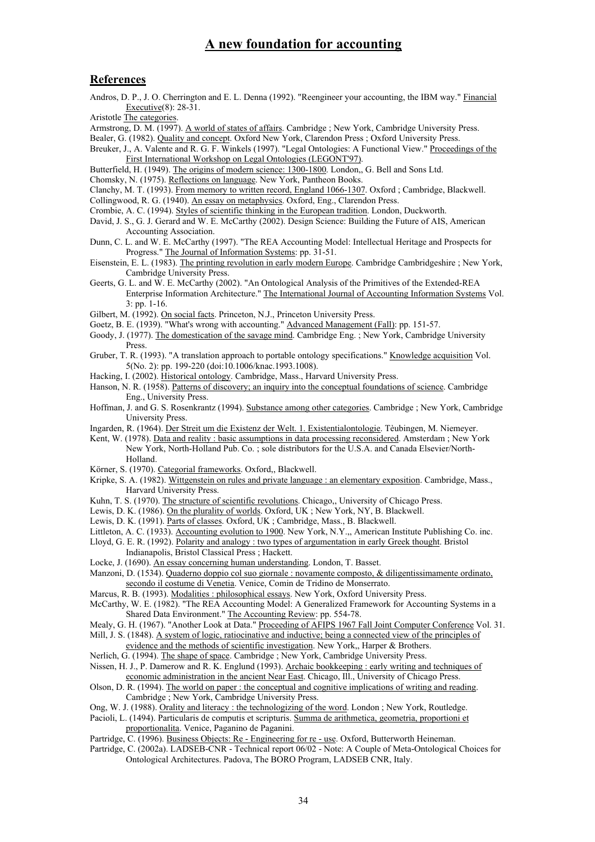#### **References**

Andros, D. P., J. O. Cherrington and E. L. Denna (1992). "Reengineer your accounting, the IBM way." Financial Executive(8): 28-31.

Aristotle The categories.

Armstrong, D. M. (1997). A world of states of affairs. Cambridge ; New York, Cambridge University Press.

Bealer, G. (1982). Quality and concept. Oxford New York, Clarendon Press ; Oxford University Press.

Breuker, J., A. Valente and R. G. F. Winkels (1997). "Legal Ontologies: A Functional View." Proceedings of the First International Workshop on Legal Ontologies (LEGONT'97).

Butterfield, H. (1949). The origins of modern science: 1300-1800. London,, G. Bell and Sons Ltd.

Chomsky, N. (1975). Reflections on language. New York, Pantheon Books.

Clanchy, M. T. (1993). From memory to written record, England 1066-1307. Oxford ; Cambridge, Blackwell.

Collingwood, R. G. (1940). An essay on metaphysics. Oxford, Eng., Clarendon Press.

- Crombie, A. C. (1994). Styles of scientific thinking in the European tradition. London, Duckworth.
- David, J. S., G. J. Gerard and W. E. McCarthy (2002). Design Science: Building the Future of AIS, American Accounting Association.

Dunn, C. L. and W. E. McCarthy (1997). "The REA Accounting Model: Intellectual Heritage and Prospects for Progress." The Journal of Information Systems: pp. 31-51.

Eisenstein, E. L. (1983). The printing revolution in early modern Europe. Cambridge Cambridgeshire ; New York, Cambridge University Press.

- Geerts, G. L. and W. E. McCarthy (2002). "An Ontological Analysis of the Primitives of the Extended-REA Enterprise Information Architecture." The International Journal of Accounting Information Systems Vol. 3: pp. 1-16.
- Gilbert, M. (1992). On social facts. Princeton, N.J., Princeton University Press.
- Goetz, B. E. (1939). "What's wrong with accounting." Advanced Management (Fall): pp. 151-57.
- Goody, J. (1977). The domestication of the savage mind. Cambridge Eng. ; New York, Cambridge University Press.
- Gruber, T. R. (1993). "A translation approach to portable ontology specifications." Knowledge acquisition Vol. 5(No. 2): pp. 199-220 (doi:10.1006/knac.1993.1008).
- Hacking, I. (2002). Historical ontology. Cambridge, Mass., Harvard University Press.
- Hanson, N. R. (1958). Patterns of discovery; an inquiry into the conceptual foundations of science. Cambridge Eng., University Press.
- Hoffman, J. and G. S. Rosenkrantz (1994). Substance among other categories. Cambridge ; New York, Cambridge University Press.
- Ingarden, R. (1964). Der Streit um die Existenz der Welt. 1. Existentialontologie. Tèubingen, M. Niemeyer.
- Kent, W. (1978). Data and reality : basic assumptions in data processing reconsidered. Amsterdam ; New York New York, North-Holland Pub. Co. ; sole distributors for the U.S.A. and Canada Elsevier/North-Holland.
- Körner, S. (1970). Categorial frameworks. Oxford,, Blackwell.
- Kripke, S. A. (1982). Wittgenstein on rules and private language : an elementary exposition. Cambridge, Mass., Harvard University Press.

Kuhn, T. S. (1970). The structure of scientific revolutions. Chicago,, University of Chicago Press.

Lewis, D. K. (1986). On the plurality of worlds. Oxford, UK ; New York, NY, B. Blackwell.

Lewis, D. K. (1991). Parts of classes. Oxford, UK ; Cambridge, Mass., B. Blackwell.

- Littleton, A. C. (1933). Accounting evolution to 1900. New York, N.Y.,, American Institute Publishing Co. inc.
- Lloyd, G. E. R. (1992). Polarity and analogy : two types of argumentation in early Greek thought. Bristol Indianapolis, Bristol Classical Press ; Hackett.
- Locke, J. (1690). An essay concerning human understanding. London, T. Basset.

Manzoni, D. (1534). Quaderno doppio col suo giornale : novamente composto, & diligentissimamente ordinato, secondo il costume di Venetia. Venice, Comin de Tridino de Monserrato.

Marcus, R. B. (1993). Modalities : philosophical essays. New York, Oxford University Press.

McCarthy, W. E. (1982). "The REA Accounting Model: A Generalized Framework for Accounting Systems in a Shared Data Environment." The Accounting Review: pp. 554-78.

Mealy, G. H. (1967). "Another Look at Data." Proceeding of AFIPS 1967 Fall Joint Computer Conference Vol. 31.

- Mill, J. S. (1848). A system of logic, ratiocinative and inductive; being a connected view of the principles of evidence and the methods of scientific investigation. New York,, Harper & Brothers.
- Nerlich, G. (1994). The shape of space. Cambridge ; New York, Cambridge University Press.
- Nissen, H. J., P. Damerow and R. K. Englund (1993). Archaic bookkeeping : early writing and techniques of economic administration in the ancient Near East. Chicago, Ill., University of Chicago Press.
- Olson, D. R. (1994). The world on paper : the conceptual and cognitive implications of writing and reading. Cambridge ; New York, Cambridge University Press.

Ong, W. J. (1988). Orality and literacy : the technologizing of the word. London ; New York, Routledge.

Pacioli, L. (1494). Particularis de computis et scripturis. Summa de arithmetica, geometria, proportioni et proportionalita. Venice, Paganino de Paganini.

Partridge, C. (1996). Business Objects: Re - Engineering for re - use. Oxford, Butterworth Heineman.

Partridge, C. (2002a). LADSEB-CNR - Technical report 06/02 - Note: A Couple of Meta-Ontological Choices for Ontological Architectures. Padova, The BORO Program, LADSEB CNR, Italy.